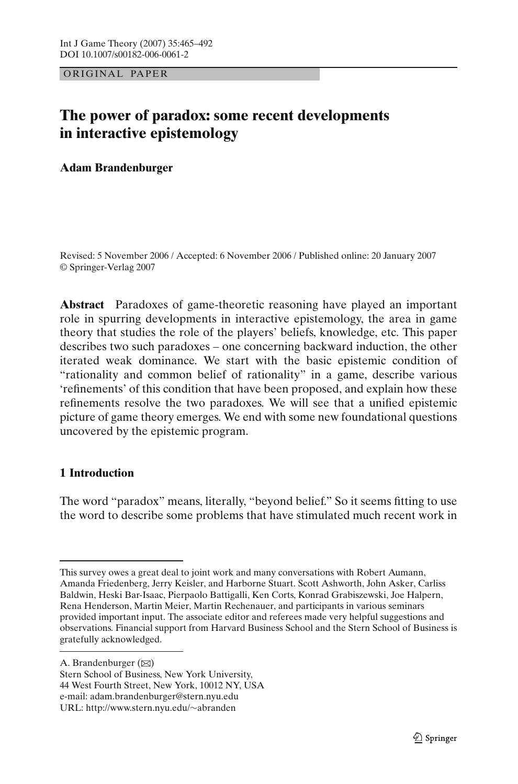OR IG INAL PAPER

# **The power of paradox: some recent developments in interactive epistemology**

## **Adam Brandenburger**

Revised: 5 November 2006 / Accepted: 6 November 2006 / Published online: 20 January 2007 © Springer-Verlag 2007

**Abstract** Paradoxes of game-theoretic reasoning have played an important role in spurring developments in interactive epistemology, the area in game theory that studies the role of the players' beliefs, knowledge, etc. This paper describes two such paradoxes – one concerning backward induction, the other iterated weak dominance. We start with the basic epistemic condition of "rationality and common belief of rationality" in a game, describe various 'refinements' of this condition that have been proposed, and explain how these refinements resolve the two paradoxes. We will see that a unified epistemic picture of game theory emerges. We end with some new foundational questions uncovered by the epistemic program.

## **1 Introduction**

The word "paradox" means, literally, "beyond belief." So it seems fitting to use the word to describe some problems that have stimulated much recent work in

A. Brandenburger  $(\boxtimes)$ 

This survey owes a great deal to joint work and many conversations with Robert Aumann, Amanda Friedenberg, Jerry Keisler, and Harborne Stuart. Scott Ashworth, John Asker, Carliss Baldwin, Heski Bar-Isaac, Pierpaolo Battigalli, Ken Corts, Konrad Grabiszewski, Joe Halpern, Rena Henderson, Martin Meier, Martin Rechenauer, and participants in various seminars provided important input. The associate editor and referees made very helpful suggestions and observations. Financial support from Harvard Business School and the Stern School of Business is gratefully acknowledged.

Stern School of Business, New York University, 44 West Fourth Street, New York, 10012 NY, USA e-mail: adam.brandenburger@stern.nyu.edu URL: http://www.stern.nyu.edu/∼abranden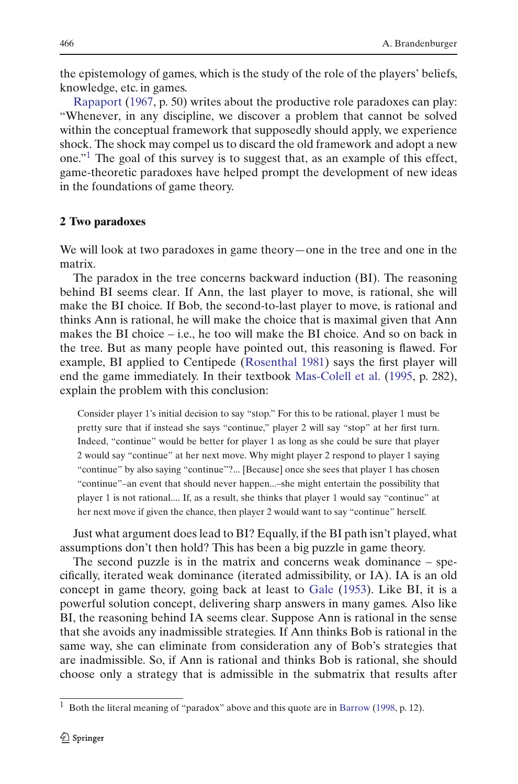the epistemology of games, which is the study of the role of the players' beliefs, [knowledge,](#page-27-0) [e](#page-27-0)tc. in games.

Rapaport [\(1967,](#page-27-0) p. 50) writes about the productive role paradoxes can play: "Whenever, in any discipline, we discover a problem that cannot be solved within the conceptual framework that supposedly should apply, we experience shock. The shock may compel us to discard the old framework and adopt a new one.["1](#page-1-0) The goal of this survey is to suggest that, as an example of this effect, game-theoretic paradoxes have helped prompt the development of new ideas in the foundations of game theory.

#### **2 Two paradoxes**

We will look at two paradoxes in game theory—one in the tree and one in the matrix.

The paradox in the tree concerns backward induction (BI). The reasoning behind BI seems clear. If Ann, the last player to move, is rational, she will make the BI choice. If Bob, the second-to-last player to move, is rational and thinks Ann is rational, he will make the choice that is maximal given that Ann makes the BI choice  $-$  i.e., he too will make the BI choice. And so on back in the tree. But as many people have pointed out, this reasoning is flawed. For example, BI applied to Centipede [\(Rosenthal 1981\)](#page-27-1) says the first player will end the game immediately. In their textbook [Mas-Colell et al.](#page-27-2) [\(1995](#page-27-2), p. 282), explain the problem with this conclusion:

Consider player 1's initial decision to say "stop." For this to be rational, player 1 must be pretty sure that if instead she says "continue," player 2 will say "stop" at her first turn. Indeed, "continue" would be better for player 1 as long as she could be sure that player 2 would say "continue" at her next move. Why might player 2 respond to player 1 saying "continue" by also saying "continue"?... [Because] once she sees that player 1 has chosen "continue"–an event that should never happen...–she might entertain the possibility that player 1 is not rational.... If, as a result, she thinks that player 1 would say "continue" at her next move if given the chance, then player 2 would want to say "continue" herself.

Just what argument does lead to BI? Equally, if the BI path isn't played, what assumptions don't then hold? This has been a big puzzle in game theory.

The second puzzle is in the matrix and concerns weak dominance – specifically, iterated weak dominance (iterated admissibility, or IA). IA is an old concept in game theory, going back at least to [Gale](#page-27-3) [\(1953](#page-27-3)). Like BI, it is a powerful solution concept, delivering sharp answers in many games. Also like BI, the reasoning behind IA seems clear. Suppose Ann is rational in the sense that she avoids any inadmissible strategies. If Ann thinks Bob is rational in the same way, she can eliminate from consideration any of Bob's strategies that are inadmissible. So, if Ann is rational and thinks Bob is rational, she should choose only a strategy that is admissible in the submatrix that results after

<span id="page-1-0"></span><sup>1</sup> Both the literal meaning of "paradox" above and this quote are in [Barrow](#page-25-0) [\(1998](#page-25-0), p. 12).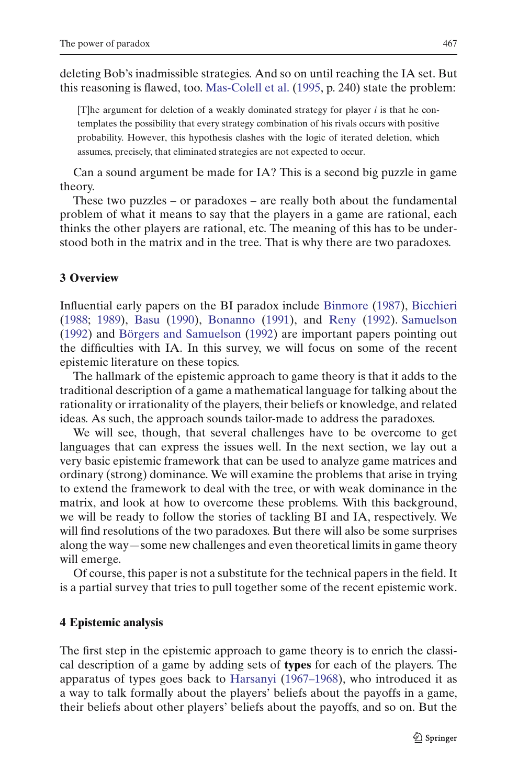deleting Bob's inadmissible strategies. And so on until reaching the IA set. But this reasoning is flawed, too. [Mas-Colell et al.](#page-27-2) [\(1995](#page-27-2), p. 240) state the problem:

[T]he argument for deletion of a weakly dominated strategy for player  $i$  is that he contemplates the possibility that every strategy combination of his rivals occurs with positive probability. However, this hypothesis clashes with the logic of iterated deletion, which assumes, precisely, that eliminated strategies are not expected to occur.

Can a sound argument be made for IA? This is a second big puzzle in game theory.

These two puzzles – or paradoxes – are really both about the fundamental problem of what it means to say that the players in a game are rational, each thinks the other players are rational, etc. The meaning of this has to be understood both in the matrix and in the tree. That is why there are two paradoxes.

#### **3 Overview**

Influential early papers on the BI paradox include [Binmore](#page-26-0) [\(1987\)](#page-26-0), [Bicchieri](#page-26-1) [\(1988;](#page-26-1) [1989](#page-26-2)), [Basu](#page-26-3) [\(1990\)](#page-26-3), [Bonanno](#page-26-4) [\(1991\)](#page-26-4), and [Reny](#page-27-4) [\(1992](#page-27-4)). [Samuelson](#page-27-5) [\(1992\)](#page-27-5) and [Börgers and Samuelson](#page-26-5) [\(1992\)](#page-26-5) are important papers pointing out the difficulties with IA. In this survey, we will focus on some of the recent epistemic literature on these topics.

The hallmark of the epistemic approach to game theory is that it adds to the traditional description of a game a mathematical language for talking about the rationality or irrationality of the players, their beliefs or knowledge, and related ideas. As such, the approach sounds tailor-made to address the paradoxes.

We will see, though, that several challenges have to be overcome to get languages that can express the issues well. In the next section, we lay out a very basic epistemic framework that can be used to analyze game matrices and ordinary (strong) dominance. We will examine the problems that arise in trying to extend the framework to deal with the tree, or with weak dominance in the matrix, and look at how to overcome these problems. With this background, we will be ready to follow the stories of tackling BI and IA, respectively. We will find resolutions of the two paradoxes. But there will also be some surprises along the way—some new challenges and even theoretical limits in game theory will emerge.

Of course, this paper is not a substitute for the technical papers in the field. It is a partial survey that tries to pull together some of the recent epistemic work.

#### <span id="page-2-0"></span>**4 Epistemic analysis**

The first step in the epistemic approach to game theory is to enrich the classical description of a game by adding sets of **types** for each of the players. The apparatus of types goes back to [Harsanyi](#page-27-6) [\(1967–1968\)](#page-27-6), who introduced it as a way to talk formally about the players' beliefs about the payoffs in a game, their beliefs about other players' beliefs about the payoffs, and so on. But the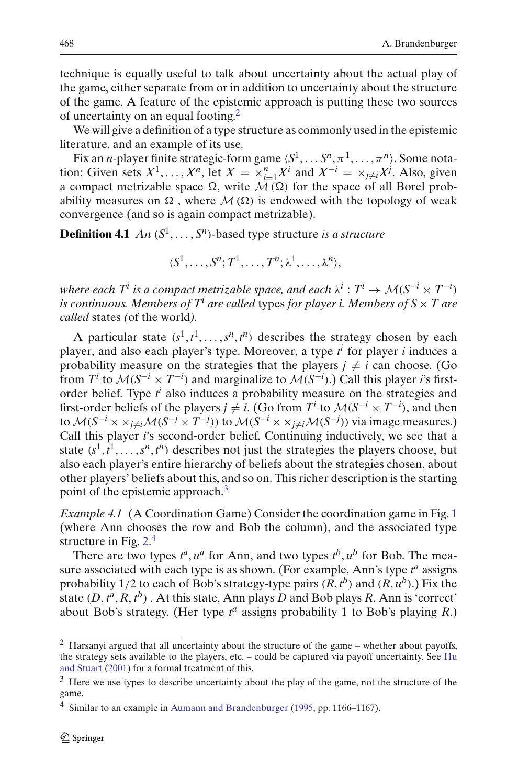technique is equally useful to talk about uncertainty about the actual play of the game, either separate from or in addition to uncertainty about the structure of the game. A feature of the epistemic approach is putting these two sources of uncertainty on an equal footing.<sup>[2](#page-3-0)</sup>

We will give a definition of a type structure as commonly used in the epistemic literature, and an example of its use.

Fix an *n*-player finite strategic-form game  $\langle S^1, \ldots S^n, \pi^1, \ldots, \pi^n \rangle$ . Some notation: Given sets  $X^1, \ldots, X^n$ , let  $X = \times_{i=1}^n X^i$  and  $X^{-i} = \times_{j \neq i} X^j$ . Also, given a compact metrizable space  $\Omega$ , write  $M(\Omega)$  for the space of all Borel probability measures on  $\Omega$ , where  $M(\Omega)$  is endowed with the topology of weak convergence (and so is again compact metrizable).

**Definition 4.1** *An*  $(S^1, \ldots, S^n)$ -based type structure *is a structure* 

$$
\langle S^1,\ldots,S^n;T^1,\ldots,T^n;\lambda^1,\ldots,\lambda^n\rangle,
$$

*where each*  $T^i$  *is a compact metrizable space, and each*  $\lambda^i : T^i \to \mathcal{M}(S^{-i} \times T^{-i})$ *is continuous. Members of T<sup>i</sup> are called* types *for player i. Members of S* × *T are called* states *(*of the world*).*

A particular state  $(s^1, t^1, \ldots, s^n, t^n)$  describes the strategy chosen by each player, and also each player's type. Moreover, a type *t <sup>i</sup>* for player *i* induces a probability measure on the strategies that the players  $j \neq i$  can choose. (Go from *T<sup><i>i*</sup> to  $M(S^{-i} \times T^{-i})$  and marginalize to  $M(S^{-i})$ .) Call this player *i*'s firstorder belief. Type  $t^i$  also induces a probability measure on the strategies and first-order beliefs of the players  $j \neq i$ . (Go from  $T^i$  to  $\mathcal{M}(S^{-i} \times T^{-i})$ ), and then to  $\mathcal{M}(S^{-i} \times \times_{j \neq i} \mathcal{M}(S^{-j} \times T^{-j}))$  to  $\mathcal{M}(S^{-i} \times \times_{j \neq i} \mathcal{M}(S^{-j}))$  via image measures.) Call this player *i*'s second-order belief. Continuing inductively, we see that a state  $(s^1, t^1, \ldots, s^n, t^n)$  describes not just the strategies the players choose, but also each player's entire hierarchy of beliefs about the strategies chosen, about other players' beliefs about this, and so on. This richer description is the starting point of the epistemic approach.<sup>[3](#page-3-1)</sup>

*Example 4.1* (A Coordination Game) Consider the coordination game in Fig. [1](#page-4-0) (where Ann chooses the row and Bob the column), and the associated type structure in Fig. [2.](#page-4-1)<sup>[4](#page-3-2)</sup>

There are two types  $t^a$ ,  $u^a$  for Ann, and two types  $t^b$ ,  $u^b$  for Bob. The measure associated with each type is as shown. (For example, Ann's type  $t^a$  assigns probability  $1/2$  to each of Bob's strategy-type pairs  $(R, t^b)$  and  $(R, u^b)$ .) Fix the state  $(D, t^a, R, t^b)$  . At this state, Ann plays *D* and Bob plays *R*. Ann is 'correct' about Bob's strategy. (Her type *t <sup>a</sup>* assigns probability 1 to Bob's playing *R*.)

<span id="page-3-0"></span> $2$  Harsanyi argued that all uncertainty about the structure of the game – whether about payoffs, the strate[gy](#page-27-7) [sets](#page-27-7) [available](#page-27-7) [to](#page-27-7) [the](#page-27-7) [players,](#page-27-7) [etc.](#page-27-7) [–](#page-27-7) [could](#page-27-7) [be](#page-27-7) [captured](#page-27-7) [via](#page-27-7) [payoff](#page-27-7) [uncertainty.](#page-27-7) [See](#page-27-7) Hu and Stuart [\(2001\)](#page-27-7) for a formal treatment of this.

<span id="page-3-1"></span><sup>&</sup>lt;sup>3</sup> Here we use types to describe uncertainty about the play of the game, not the structure of the game.

<span id="page-3-2"></span><sup>&</sup>lt;sup>4</sup> Similar to an example in [Aumann and Brandenburger](#page-25-1) [\(1995,](#page-25-1) pp. 1166–1167).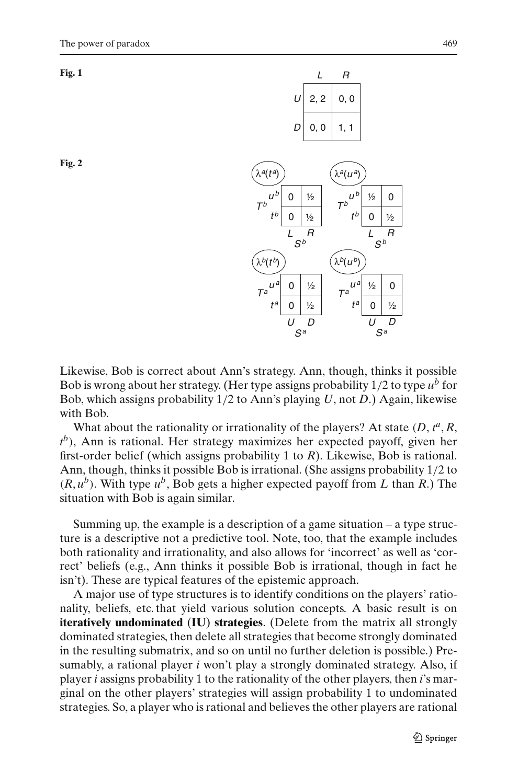<span id="page-4-0"></span>

<span id="page-4-1"></span>



Likewise, Bob is correct about Ann's strategy. Ann, though, thinks it possible Bob is wrong about her strategy. (Her type assigns probability 1/2 to type *ub* for Bob, which assigns probability 1/2 to Ann's playing *U*, not *D*.) Again, likewise with Bob.

What about the rationality or irrationality of the players? At state  $(D, t^a, R)$ *t <sup>b</sup>*), Ann is rational. Her strategy maximizes her expected payoff, given her first-order belief (which assigns probability 1 to *R*). Likewise, Bob is rational. Ann, though, thinks it possible Bob is irrational. (She assigns probability 1/2 to  $(R, u^b)$ . With type  $u^b$ , Bob gets a higher expected payoff from *L* than *R*.) The situation with Bob is again similar.

Summing up, the example is a description of a game situation  $-$  a type structure is a descriptive not a predictive tool. Note, too, that the example includes both rationality and irrationality, and also allows for 'incorrect' as well as 'correct' beliefs (e.g., Ann thinks it possible Bob is irrational, though in fact he isn't). These are typical features of the epistemic approach.

A major use of type structures is to identify conditions on the players' rationality, beliefs, etc. that yield various solution concepts. A basic result is on **iteratively undominated** (**IU**) **strategies**. (Delete from the matrix all strongly dominated strategies, then delete all strategies that become strongly dominated in the resulting submatrix, and so on until no further deletion is possible.) Presumably, a rational player *i* won't play a strongly dominated strategy. Also, if player *i* assigns probability 1 to the rationality of the other players, then *i*'s marginal on the other players' strategies will assign probability 1 to undominated strategies. So, a player who is rational and believes the other players are rational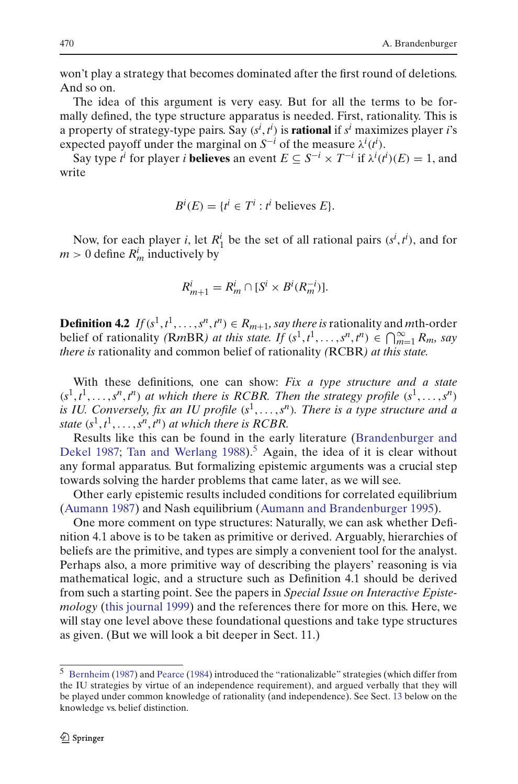won't play a strategy that becomes dominated after the first round of deletions. And so on.

The idea of this argument is very easy. But for all the terms to be formally defined, the type structure apparatus is needed. First, rationality. This is a property of strategy-type pairs. Say (*s<sup>i</sup>* , *t i* ) is **rational** if *s<sup>i</sup>* maximizes player *i*'s expected payoff under the marginal on  $S^{-i}$  of the measure  $\lambda^{i}(t^{i})$ .

Say type  $t^i$  for player *i* **believes** an event  $E \subseteq S^{-i} \times T^{-i}$  if  $\lambda^i(t^i)(E) = 1$ , and write

$$
B^i(E) = \{t^i \in T^i : t^i \text{ believes } E\}.
$$

Now, for each player *i*, let  $R_1^i$  be the set of all rational pairs  $(s^i, t^i)$ , and for  $m > 0$  define  $R_m^i$  inductively by

$$
R_{m+1}^i = R_m^i \cap [S^i \times B^i(R_m^{-i})].
$$

**Definition 4.2** *If*( $s^1, t^1, \ldots, s^n, t^n$ )  $\in R_{m+1}$ , say there is rationality and *m*th-order belief of rationality *(RmBR) at this state. If*  $(s^1, t^1, \ldots, s^n, t^n) \in \bigcap_{m=1}^{\infty} R_m$ , say *there is* rationality and common belief of rationality *(*RCBR*) at this state.*

With these definitions, one can show: *Fix a type structure and a state*  $(s<sup>1</sup>, t<sup>1</sup>, \ldots, s<sup>n</sup>, t<sup>n</sup>)$  *at which there is RCBR. Then the strategy profile*  $(s<sup>1</sup>, \ldots, s<sup>n</sup>)$ *is IU. Conversely, fix an IU profile* (*s*1, ... ,*sn*)*. There is a type structure and a state*  $(s^1, t^1, \ldots, s^n, t^n)$  *at which there is RCBR.* 

Re[sults](#page-26-6) [like](#page-26-6) [this](#page-26-6) [can](#page-26-6) [be](#page-26-6) [found](#page-26-6) [in](#page-26-6) [the](#page-26-6) [early](#page-26-6) [literature](#page-26-6) [\(](#page-26-6)Brandenburger and Dekel [1987](#page-26-6); [Tan and Werlang 1988](#page-27-8)).<sup>[5](#page-5-0)</sup> Again, the idea of it is clear without any formal apparatus. But formalizing epistemic arguments was a crucial step towards solving the harder problems that came later, as we will see.

Other early epistemic results included conditions for correlated equilibrium [\(Aumann 1987\)](#page-25-2) and Nash equilibrium [\(Aumann and Brandenburger 1995](#page-25-1)).

One more comment on type structures: Naturally, we can ask whether Definition 4.1 above is to be taken as primitive or derived. Arguably, hierarchies of beliefs are the primitive, and types are simply a convenient tool for the analyst. Perhaps also, a more primitive way of describing the players' reasoning is via mathematical logic, and a structure such as Definition 4.1 should be derived from such a starting point. See the papers in *Special Issue on Interactive Epistemology* [\(this journal 1999\)](#page-27-9) and the references there for more on this. Here, we will stay one level above these foundational questions and take type structures as given. (But we will look a bit deeper in Sect. 11.)

<span id="page-5-0"></span><sup>5</sup> [Bernheim](#page-26-7) [\(1987\)](#page-26-7) and [Pearce](#page-27-10) [\(1984](#page-27-10)) introduced the "rationalizable" strategies (which differ from the IU strategies by virtue of an independence requirement), and argued verbally that they will be played under common knowledge of rationality (and independence). See Sect. [13](#page-24-0) below on the knowledge vs. belief distinction.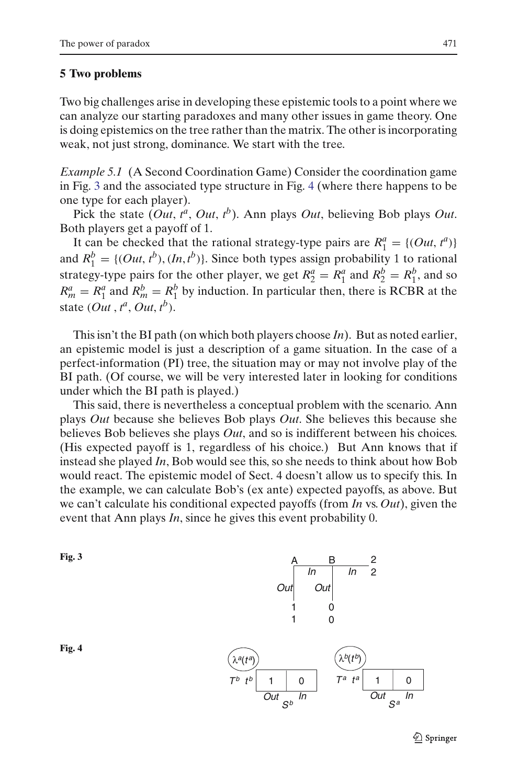# **5 Two problems**

Two big challenges arise in developing these epistemic tools to a point where we can analyze our starting paradoxes and many other issues in game theory. One is doing epistemics on the tree rather than the matrix. The other is incorporating weak, not just strong, dominance. We start with the tree.

*Example 5.1* (A Second Coordination Game) Consider the coordination game in Fig. [3](#page-6-0) and the associated type structure in Fig. [4](#page-6-1) (where there happens to be one type for each player).

Pick the state (*Out*,  $t^a$ , *Out*,  $t^b$ ). Ann plays *Out*, believing Bob plays *Out*. Both players get a payoff of 1.

It can be checked that the rational strategy-type pairs are  $R_1^a = \{(Out, t^a)\}$ and  $R_1^b = \{ (Out, t^b), (In, t^b) \}$ . Since both types assign probability 1 to rational strategy-type pairs for the other player, we get  $R_2^a = R_1^a$  and  $R_2^b = R_1^b$ , and so  $R_m^a = R_1^a$  and  $R_m^b = R_1^b$  by induction. In particular then, there is RCBR at the state  $(Out, t^a, Out, t^b)$ .

This isn't the BI path (on which both players choose *In*). But as noted earlier, an epistemic model is just a description of a game situation. In the case of a perfect-information (PI) tree, the situation may or may not involve play of the BI path. (Of course, we will be very interested later in looking for conditions under which the BI path is played.)

This said, there is nevertheless a conceptual problem with the scenario. Ann plays *Out* because she believes Bob plays *Out*. She believes this because she believes Bob believes she plays *Out*, and so is indifferent between his choices. (His expected payoff is 1, regardless of his choice.) But Ann knows that if instead she played *In*, Bob would see this, so she needs to think about how Bob would react. The epistemic model of Sect. 4 doesn't allow us to specify this. In the example, we can calculate Bob's (ex ante) expected payoffs, as above. But we can't calculate his conditional expected payoffs (from *In* vs. *Out*), given the event that Ann plays *In*, since he gives this event probability 0.

<span id="page-6-0"></span>



<span id="page-6-1"></span>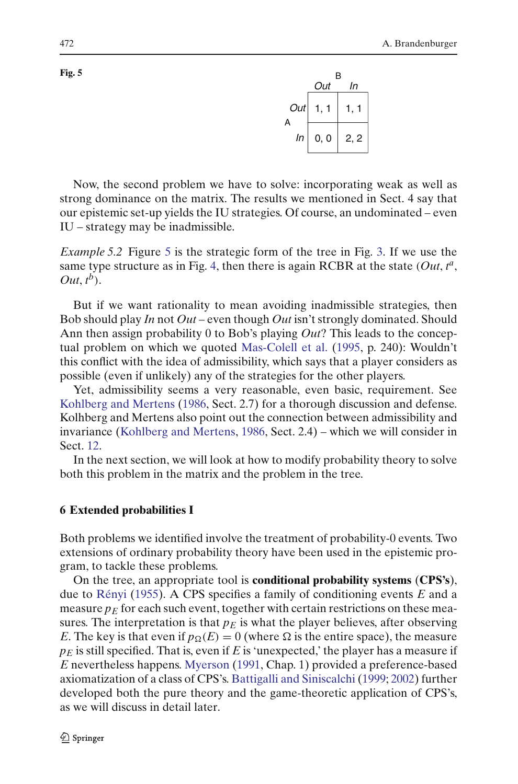

Now, the second problem we have to solve: incorporating weak as well as strong dominance on the matrix. The results we mentioned in Sect. 4 say that our epistemic set-up yields the IU strategies. Of course, an undominated – even IU – strategy may be inadmissible.

*Example [5](#page-7-0).2* Figure 5 is the strategic form of the tree in Fig. [3.](#page-6-0) If we use the same type structure as in Fig. [4,](#page-6-1) then there is again RCBR at the state  $(Out, t^a, )$  $Out, t^b$ ).

But if we want rationality to mean avoiding inadmissible strategies, then Bob should play *In* not *Out* – even though *Out* isn't strongly dominated. Should Ann then assign probability 0 to Bob's playing *Out*? This leads to the conceptual problem on which we quoted [Mas-Colell et al.](#page-27-2) [\(1995,](#page-27-2) p. 240): Wouldn't this conflict with the idea of admissibility, which says that a player considers as possible (even if unlikely) any of the strategies for the other players.

Yet, admissibility seems a very reasonable, even basic, requirement. See [Kohlberg and Mertens](#page-27-11) [\(1986,](#page-27-11) Sect. 2.7) for a thorough discussion and defense. Kolhberg and Mertens also point out the connection between admissibility and invariance [\(Kohlberg and Mertens,](#page-27-11) [1986,](#page-27-11) Sect. 2.4) – which we will consider in Sect. [12.](#page-22-0)

In the next section, we will look at how to modify probability theory to solve both this problem in the matrix and the problem in the tree.

## **6 Extended probabilities I**

Both problems we identified involve the treatment of probability-0 events. Two extensions of ordinary probability theory have been used in the epistemic program, to tackle these problems.

On the tree, an appropriate tool is **conditional probability systems** (**CPS's**), due to [Rényi](#page-27-12) [\(1955](#page-27-12)). A CPS specifies a family of conditioning events *E* and a measure  $p_E$  for each such event, together with certain restrictions on these measures. The interpretation is that  $p_E$  is what the player believes, after observing *E*. The key is that even if  $p_{\Omega}(E) = 0$  (where  $\Omega$  is the entire space), the measure  $p_E$  is still specified. That is, even if *E* is 'unexpected,' the player has a measure if *E* nevertheless happens. [Myerson](#page-27-13) [\(1991](#page-27-13), Chap. 1) provided a preference-based axiomatization of a class of CPS's. [Battigalli and Siniscalchi](#page-26-8) [\(1999](#page-26-8); [2002\)](#page-26-9) further developed both the pure theory and the game-theoretic application of CPS's, as we will discuss in detail later.

<span id="page-7-0"></span>**Fig. 5**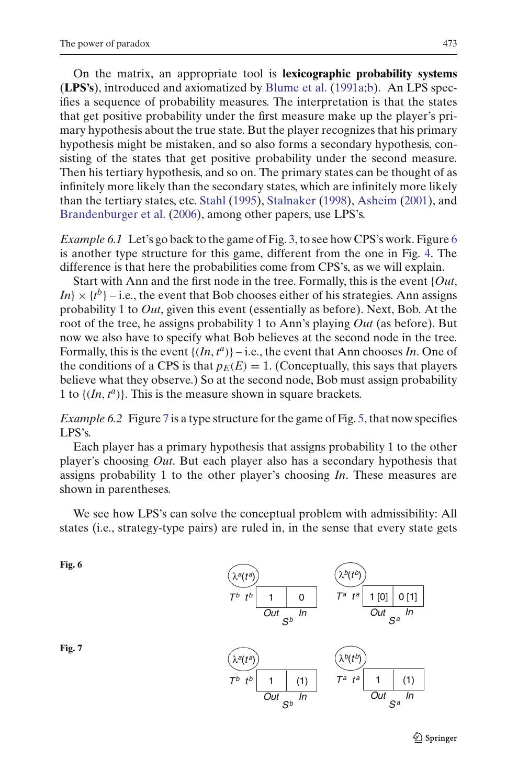On the matrix, an appropriate tool is **lexicographic probability systems** (**LPS's**), introduced and axiomatized by [Blume et al.](#page-26-10) [\(1991a](#page-26-10)[;b](#page-26-11)). An LPS specifies a sequence of probability measures. The interpretation is that the states that get positive probability under the first measure make up the player's primary hypothesis about the true state. But the player recognizes that his primary hypothesis might be mistaken, and so also forms a secondary hypothesis, consisting of the states that get positive probability under the second measure. Then his tertiary hypothesis, and so on. The primary states can be thought of as infinitely more likely than the secondary states, which are infinitely more likely than the tertiary states, etc. [Stahl](#page-27-14) [\(1995\)](#page-27-14), [Stalnaker](#page-27-15) [\(1998](#page-27-15)), [Asheim](#page-25-3) [\(2001](#page-25-3)), and [Brandenburger et al.](#page-26-12) [\(2006\)](#page-26-12), among other papers, use LPS's.

*Example [6](#page-8-0).1* Let's go back to the game of Fig. [3,](#page-6-0) to see how CPS's work. Figure 6 is another type structure for this game, different from the one in Fig. [4.](#page-6-1) The difference is that here the probabilities come from CPS's, as we will explain.

Start with Ann and the first node in the tree. Formally, this is the event {*Out*,  $I_n$   $\times$   $\{t^b\}$  – i.e., the event that Bob chooses either of his strategies. Ann assigns probability 1 to *Out*, given this event (essentially as before). Next, Bob. At the root of the tree, he assigns probability 1 to Ann's playing *Out* (as before). But now we also have to specify what Bob believes at the second node in the tree. Formally, this is the event  $\{(In, t^a)\}$  – i.e., the event that Ann chooses *In*. One of the conditions of a CPS is that  $p_E(E) = 1$ . (Conceptually, this says that players believe what they observe.) So at the second node, Bob must assign probability 1 to  $\{(In, t^a)\}$ . This is the measure shown in square brackets.

*Example 6.2* Figure [7](#page-8-1) is a type structure for the game of Fig. [5,](#page-7-0) that now specifies LPS's.

Each player has a primary hypothesis that assigns probability 1 to the other player's choosing *Out*. But each player also has a secondary hypothesis that assigns probability 1 to the other player's choosing *In*. These measures are shown in parentheses.

We see how LPS's can solve the conceptual problem with admissibility: All states (i.e., strategy-type pairs) are ruled in, in the sense that every state gets

<span id="page-8-1"></span><span id="page-8-0"></span>**Fig. 6**

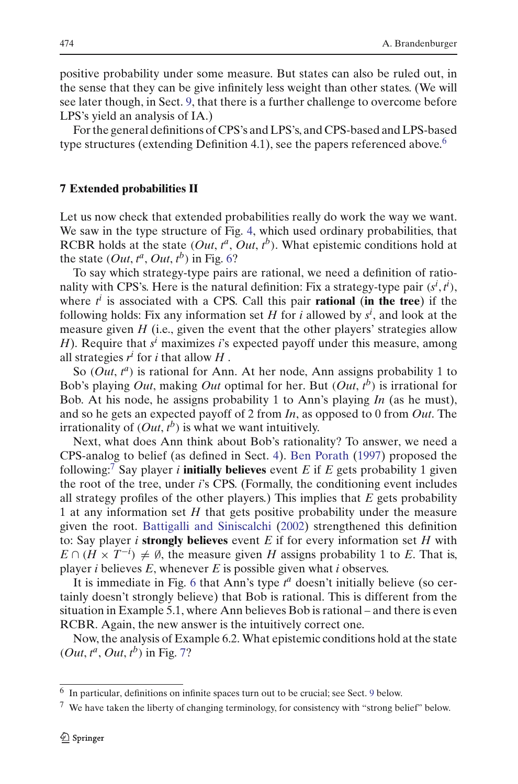positive probability under some measure. But states can also be ruled out, in the sense that they can be give infinitely less weight than other states. (We will see later though, in Sect. [9,](#page-15-0) that there is a further challenge to overcome before LPS's yield an analysis of IA.)

For the general definitions of CPS's and LPS's, and CPS-based and LPS-based type structures (extending Definition 4.1), see the papers referenced above.<sup>[6](#page-9-0)</sup>

#### **7 Extended probabilities II**

Let us now check that extended probabilities really do work the way we want. We saw in the type structure of Fig. [4,](#page-6-1) which used ordinary probabilities, that RCBR holds at the state  $(Out, t^a, Out, t^b)$ . What epistemic conditions hold at the state  $(Out, t^a, Out, t^b)$  in Fig. [6?](#page-8-0)

To say which strategy-type pairs are rational, we need a definition of rationality with CPS's. Here is the natural definition: Fix a strategy-type pair  $(s^i, t^i)$ , where  $t^i$  is associated with a CPS. Call this pair **rational** (in the tree) if the following holds: Fix any information set *H* for *i* allowed by *s<sup>i</sup>* , and look at the measure given *H* (i.e., given the event that the other players' strategies allow *H*). Require that *s<sup>i</sup>* maximizes *i*'s expected payoff under this measure, among all strategies  $r^i$  for *i* that allow  $H$ .

So (*Out*,  $t^a$ ) is rational for Ann. At her node, Ann assigns probability 1 to Bob's playing *Out*, making *Out* optimal for her. But (*Out*, *t <sup>b</sup>*) is irrational for Bob. At his node, he assigns probability 1 to Ann's playing *In* (as he must), and so he gets an expected payoff of 2 from *In*, as opposed to 0 from *Out*. The irrationality of  $(Out, t^b)$  is what we want intuitively.

Next, what does Ann think about Bob's rationality? To answer, we need a CPS-analog to belief (as defined in Sect. [4\)](#page-2-0). [Ben Porath](#page-26-13) [\(1997](#page-26-13)) proposed the following:[7](#page-9-1) Say player *i* **initially believes** event *E* if *E* gets probability 1 given the root of the tree, under *i*'s CPS. (Formally, the conditioning event includes all strategy profiles of the other players.) This implies that *E* gets probability 1 at any information set *H* that gets positive probability under the measure given the root. [Battigalli and Siniscalchi](#page-26-9) [\(2002](#page-26-9)) strengthened this definition to: Say player *i* **strongly believes** event *E* if for every information set *H* with  $E \cap (H \times T^{-i}) \neq \emptyset$ , the measure given *H* assigns probability 1 to *E*. That is, player *i* believes *E*, whenever *E* is possible given what *i* observes.

It is immediate in Fig. [6](#page-8-0) that Ann's type  $t^a$  doesn't initially believe (so certainly doesn't strongly believe) that Bob is rational. This is different from the situation in Example 5.1, where Ann believes Bob is rational – and there is even RCBR. Again, the new answer is the intuitively correct one.

Now, the analysis of Example 6.2. What epistemic conditions hold at the state  $(Out, t^a, Out, t^b)$  in Fig. [7?](#page-8-1)

<sup>6</sup> In particular, definitions on infinite spaces turn out to be crucial; see Sect. [9](#page-15-0) below.

<span id="page-9-1"></span><span id="page-9-0"></span><sup>7</sup> We have taken the liberty of changing terminology, for consistency with "strong belief" below.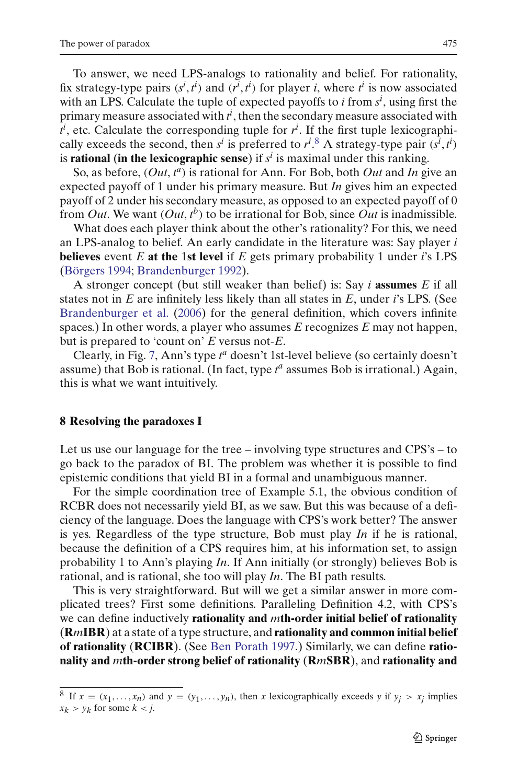To answer, we need LPS-analogs to rationality and belief. For rationality, fix strategy-type pairs  $(s^i, t^i)$  and  $(t^i, t^i)$  for player *i*, where  $t^i$  is now associated with an LPS. Calculate the tuple of expected payoffs to *i* from *s<sup>i</sup>* , using first the primary measure associated with  $t^i$  , then the secondary measure associated with  $t^i$ , etc. Calculate the corresponding tuple for  $r^i$ . If the first tuple lexicographically exceeds the second, then  $s^i$  is preferred to  $r^i$ .<sup>[8](#page-10-0)</sup> A strategy-type pair  $(s^i, t^i)$ is **rational** (in the lexicographic sense) if  $s^i$  is maximal under this ranking.

So, as before,  $(Out, t^a)$  is rational for Ann. For Bob, both *Out* and *In* give an expected payoff of 1 under his primary measure. But *In* gives him an expected payoff of 2 under his secondary measure, as opposed to an expected payoff of 0 from *Out*. We want  $(Out, t^b)$  to be irrational for Bob, since *Out* is inadmissible.

What does each player think about the other's rationality? For this, we need an LPS-analog to belief. An early candidate in the literature was: Say player *i* **believes** event *E* **at the** 1**st level** if *E* gets primary probability 1 under *i*'s LPS [\(Börgers 1994](#page-26-14); [Brandenburger 1992](#page-26-15)).

A stronger concept (but still weaker than belief) is: Say *i* **assumes** *E* if all states not in *E* are infinitely less likely than all states in *E*, under *i*'s LPS. (See [Brandenburger et al.](#page-26-12) [\(2006](#page-26-12)) for the general definition, which covers infinite spaces.) In other words, a player who assumes *E* recognizes *E* may not happen, but is prepared to 'count on' *E* versus not-*E*.

Clearly, in Fig. [7,](#page-8-1) Ann's type  $t^a$  doesn't 1st-level believe (so certainly doesn't assume) that Bob is rational. (In fact, type *t <sup>a</sup>* assumes Bob is irrational.) Again, this is what we want intuitively.

#### <span id="page-10-1"></span>**8 Resolving the paradoxes I**

Let us use our language for the tree – involving type structures and CPS's – to go back to the paradox of BI. The problem was whether it is possible to find epistemic conditions that yield BI in a formal and unambiguous manner.

For the simple coordination tree of Example 5.1, the obvious condition of RCBR does not necessarily yield BI, as we saw. But this was because of a deficiency of the language. Does the language with CPS's work better? The answer is yes. Regardless of the type structure, Bob must play *In* if he is rational, because the definition of a CPS requires him, at his information set, to assign probability 1 to Ann's playing *In*. If Ann initially (or strongly) believes Bob is rational, and is rational, she too will play *In*. The BI path results.

This is very straightforward. But will we get a similar answer in more complicated trees? First some definitions. Paralleling Definition 4.2, with CPS's we can define inductively **rationality and** *m***th-order initial belief of rationality** (**R***m***IBR**) at a state of a type structure, and **rationality and common initial belief of rationality** (**RCIBR**). (See [Ben Porath 1997](#page-26-13).) Similarly, we can define **rationality and** *m***th-order strong belief of rationality** (**R***m***SBR**), and **rationality and**

<span id="page-10-0"></span><sup>&</sup>lt;sup>8</sup> If  $x = (x_1, \ldots, x_n)$  and  $y = (y_1, \ldots, y_n)$ , then *x* lexicographically exceeds *y* if  $y_i > x_i$  implies  $x_k > y_k$  for some  $k < j$ .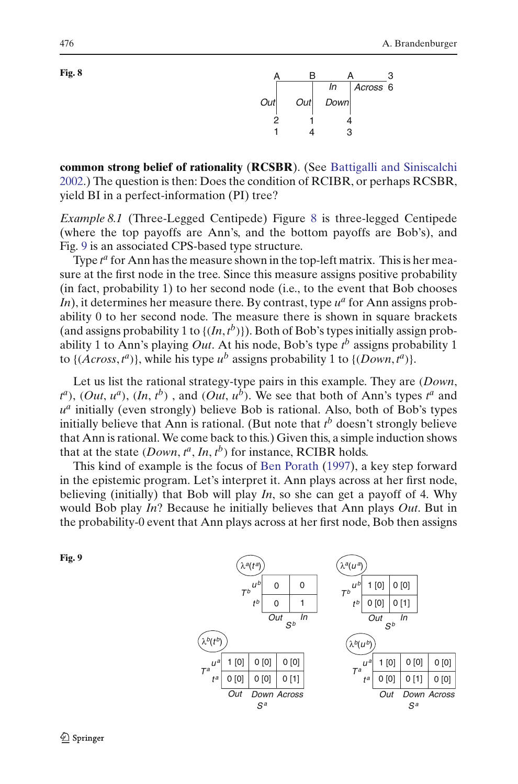<span id="page-11-0"></span>



**common strong belief of rationality** (**RCSBR**). (See [Battigalli and Siniscalchi](#page-26-9) [2002.](#page-26-9)) The question is then: Does the condition of RCIBR, or perhaps RCSBR, yield BI in a perfect-information (PI) tree?

*Example 8.1* (Three-Legged Centipede) Figure [8](#page-11-0) is three-legged Centipede (where the top payoffs are Ann's, and the bottom payoffs are Bob's), and Fig. [9](#page-11-1) is an associated CPS-based type structure.

Type  $t^a$  for Ann has the measure shown in the top-left matrix. This is her measure at the first node in the tree. Since this measure assigns positive probability (in fact, probability 1) to her second node (i.e., to the event that Bob chooses In), it determines her measure there. By contrast, type  $u^a$  for Ann assigns probability 0 to her second node. The measure there is shown in square brackets (and assigns probability 1 to  $\{(In, t^b)\}\)$ . Both of Bob's types initially assign probability 1 to Ann's playing *Out*. At his node, Bob's type *t <sup>b</sup>* assigns probability 1 to  $\{(Across, t^a)\}$ , while his type  $u^b$  assigns probability 1 to  $\{(Down, t^a)\}$ .

Let us list the rational strategy-type pairs in this example. They are (*Down*,  $t^a$ ), (*Out*,  $u^a$ ), (*In*,  $t^b$ ), and (*Out*,  $u^b$ ). We see that both of Ann's types  $t^a$  and  $u^a$  initially (even strongly) believe Bob is rational. Also, both of Bob's types initially believe that Ann is rational. (But note that *t <sup>b</sup>* doesn't strongly believe that Ann is rational. We come back to this.) Given this, a simple induction shows that at the state  $(Down, t^a, In, t^b)$  for instance, RCIBR holds.

This kind of example is the focus of [Ben Porath](#page-26-13) [\(1997](#page-26-13)), a key step forward in the epistemic program. Let's interpret it. Ann plays across at her first node, believing (initially) that Bob will play *In*, so she can get a payoff of 4. Why would Bob play *In*? Because he initially believes that Ann plays *Out*. But in the probability-0 event that Ann plays across at her first node, Bob then assigns

<span id="page-11-1"></span>

 $λ<sup>b</sup>(t<sup>b</sup>)$ *Tb ub* λ*<sup>a</sup>*(*t <sup>a</sup>*) *Out t b In*  $\Omega$ *Tb ub* λ*<sup>a</sup>*(*u <sup>a</sup>*) *Out t b In*  $\overline{u}$ *t a* λ*<sup>b</sup>*(*ub*) *Out Sa Ta Down Across Sb Sb*  $\Omega$  $0 \mid 1$  $1$  [0]  $0$  [0]  $0$  [0]  $0$  [1]  $0 [0] 0 [0] 0 [1]$  $1 [0] 0 [0] 0 [0] 0$ *t a Out Sa Ta Down Across*  $0$  [0]  $0$  [1]  $0$  [0]  $1 [0] 0 [0] 0$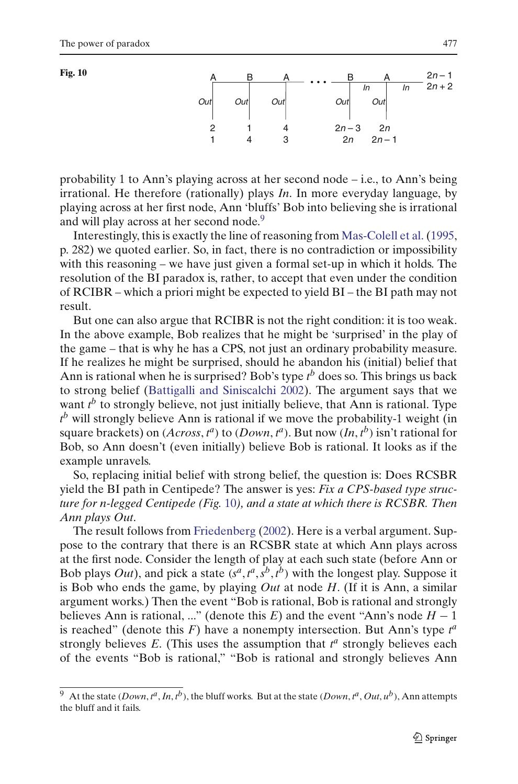<span id="page-12-1"></span>



probability 1 to Ann's playing across at her second node – i.e., to Ann's being irrational. He therefore (rationally) plays *In*. In more everyday language, by playing across at her first node, Ann 'bluffs' Bob into believing she is irrational and will play across at her second node.<sup>9</sup>

Interestingly, this is exactly the line of reasoning from [Mas-Colell et al.\(1995,](#page-27-2) p. 282) we quoted earlier. So, in fact, there is no contradiction or impossibility with this reasoning – we have just given a formal set-up in which it holds. The resolution of the BI paradox is, rather, to accept that even under the condition of RCIBR – which a priori might be expected to yield BI – the BI path may not result.

But one can also argue that RCIBR is not the right condition: it is too weak. In the above example, Bob realizes that he might be 'surprised' in the play of the game – that is why he has a CPS, not just an ordinary probability measure. If he realizes he might be surprised, should he abandon his (initial) belief that Ann is rational when he is surprised? Bob's type *t <sup>b</sup>* does so. This brings us back to strong belief [\(Battigalli and Siniscalchi 2002](#page-26-9)). The argument says that we want  $t^b$  to strongly believe, not just initially believe, that Ann is rational. Type *t <sup>b</sup>* will strongly believe Ann is rational if we move the probability-1 weight (in square brackets) on  $(Across, t^a)$  to  $(Down, t^a)$ . But now  $(In, t^b)$  isn't rational for Bob, so Ann doesn't (even initially) believe Bob is rational. It looks as if the example unravels.

So, replacing initial belief with strong belief, the question is: Does RCSBR yield the BI path in Centipede? The answer is yes: *Fix a CPS-based type structure for n-legged Centipede (Fig.* [10](#page-12-1)*), and a state at which there is RCSBR. Then Ann plays Out*.

The result follows from [Friedenberg](#page-26-16) [\(2002](#page-26-16)). Here is a verbal argument. Suppose to the contrary that there is an RCSBR state at which Ann plays across at the first node. Consider the length of play at each such state (before Ann or Bob plays *Out*), and pick a state  $(s^a, t^a, s^b, t^b)$  with the longest play. Suppose it is Bob who ends the game, by playing *Out* at node *H*. (If it is Ann, a similar argument works.) Then the event "Bob is rational, Bob is rational and strongly believes Ann is rational, ..." (denote this *E*) and the event "Ann's node  $H - 1$ is reached" (denote this  $F$ ) have a nonempty intersection. But Ann's type  $t^a$ strongly believes  $E$ . (This uses the assumption that  $t^a$  strongly believes each of the events "Bob is rational," "Bob is rational and strongly believes Ann

<span id="page-12-0"></span> $^9$  At the state (*Down*,  $t^a$ , *In*,  $t^b$ ), the bluff works. But at the state (*Down*,  $t^a$ , *Out*,  $u^b$ ), Ann attempts the bluff and it fails.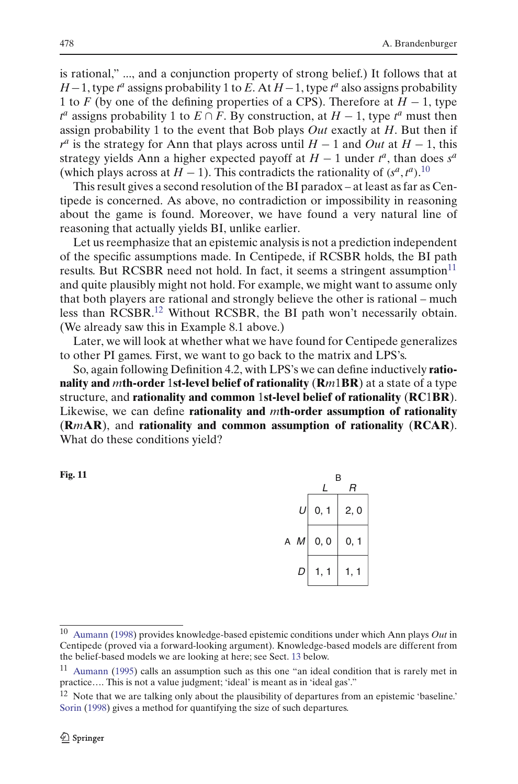is rational," ..., and a conjunction property of strong belief.) It follows that at *H*−1, type *t*<sup>*a*</sup> assigns probability 1 to *E*. At *H*−1, type *t*<sup>*a*</sup> also assigns probability 1 to *F* (by one of the defining properties of a CPS). Therefore at *H* − 1, type  $t^a$  assigns probability 1 to *E* ∩ *F*. By construction, at *H* − 1, type  $t^a$  must then assign probability 1 to the event that Bob plays *Out* exactly at *H*. But then if  $r^a$  is the strategy for Ann that plays across until *H* − 1 and *Out* at *H* − 1, this strategy yields Ann a higher expected payoff at  $H - 1$  under  $t^a$ , than does  $s^a$ (which plays across at *H* − 1). This contradicts the rationality of  $(s^a, t^a)$ .<sup>[10](#page-13-0)</sup>

This result gives a second resolution of the BI paradox – at least as far as Centipede is concerned. As above, no contradiction or impossibility in reasoning about the game is found. Moreover, we have found a very natural line of reasoning that actually yields BI, unlike earlier.

Let us reemphasize that an epistemic analysis is not a prediction independent of the specific assumptions made. In Centipede, if RCSBR holds, the BI path results. But RCSBR need not hold. In fact, it seems a stringent assumption<sup>11</sup> and quite plausibly might not hold. For example, we might want to assume only that both players are rational and strongly believe the other is rational – much less than RCSBR[.12](#page-13-2) Without RCSBR, the BI path won't necessarily obtain. (We already saw this in Example 8.1 above.)

Later, we will look at whether what we have found for Centipede generalizes to other PI games. First, we want to go back to the matrix and LPS's.

So, again following Definition 4.2, with LPS's we can define inductively **rationality and** *m***th-order** 1**st-level belief of rationality** (**R***m*1**BR**) at a state of a type structure, and **rationality and common** 1**st-level belief of rationality** (**RC**1**BR**). Likewise, we can define **rationality and** *m***th-order assumption of rationality** (**R***m***AR**), and **rationality and common assumption of rationality** (**RCAR**). What do these conditions yield?

<span id="page-13-3"></span>**Fig. 11**

|  |                  | В       |      |
|--|------------------|---------|------|
|  |                  | I       | R    |
|  | $\boldsymbol{U}$ | 0, 1    | 2, 0 |
|  | A $M$            | 0, 0    | 0, 1 |
|  | D                | 1,<br>1 | 1,   |
|  |                  |         |      |

<span id="page-13-0"></span><sup>10</sup> [Aumann](#page-25-4) [\(1998\)](#page-25-4) provides knowledge-based epistemic conditions under which Ann plays *Out* in Centipede (proved via a forward-looking argument). Knowledge-based models are different from the belief-based models we are looking at here; see Sect. [13](#page-24-0) below.

<span id="page-13-1"></span><sup>11</sup> [Aumann](#page-25-5) [\(1995\)](#page-25-5) calls an assumption such as this one "an ideal condition that is rarely met in practice…. This is not a value judgment; 'ideal' is meant as in 'ideal gas'."

<span id="page-13-2"></span><sup>&</sup>lt;sup>12</sup> Note that we are talking only about the plausibility of departures from an epistemic 'baseline.' [Sorin](#page-27-16) [\(1998](#page-27-16)) gives a method for quantifying the size of such departures.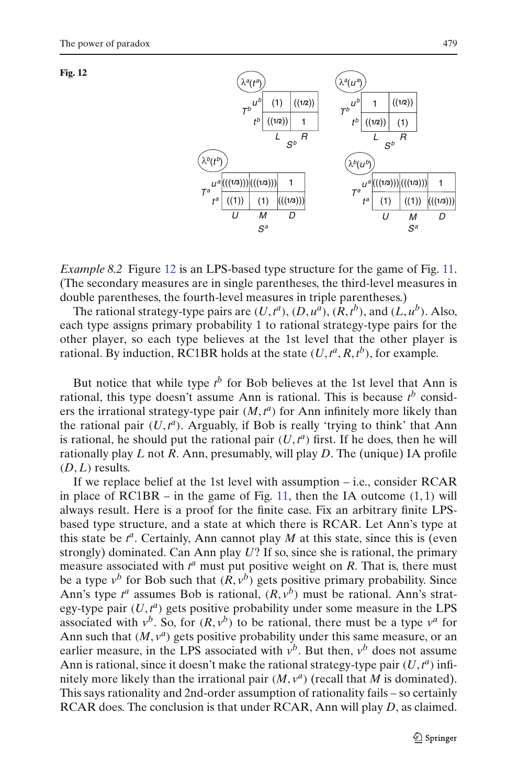<span id="page-14-0"></span>



*Example 8.2* Figure [12](#page-14-0) is an LPS-based type structure for the game of Fig. [11.](#page-13-3) (The secondary measures are in single parentheses, the third-level measures in double parentheses, the fourth-level measures in triple parentheses.)

The rational strategy-type pairs are  $(U, t^a)$ ,  $(D, u^a)$ ,  $(R, t^b)$ , and  $(L, u^b)$ . Also, each type assigns primary probability 1 to rational strategy-type pairs for the other player, so each type believes at the 1st level that the other player is rational. By induction, RC1BR holds at the state  $(U, t^a, R, t^b)$ , for example.

But notice that while type  $t^b$  for Bob believes at the 1st level that Ann is rational, this type doesn't assume Ann is rational. This is because *t <sup>b</sup>* considers the irrational strategy-type pair  $(M, t^a)$  for Ann infinitely more likely than the rational pair  $(U, t^a)$ . Arguably, if Bob is really 'trying to think' that Ann is rational, he should put the rational pair  $(U, t^a)$  first. If he does, then he will rationally play *L* not *R*. Ann, presumably, will play *D*. The (unique) IA profile  $(D, L)$  results.

If we replace belief at the 1st level with assumption – i.e., consider RCAR in place of  $RC1BR - in$  the game of Fig. [11,](#page-13-3) then the IA outcome  $(1, 1)$  will always result. Here is a proof for the finite case. Fix an arbitrary finite LPSbased type structure, and a state at which there is RCAR. Let Ann's type at this state be  $t^a$ . Certainly, Ann cannot play  $M$  at this state, since this is (even strongly) dominated. Can Ann play *U*? If so, since she is rational, the primary measure associated with  $t^a$  must put positive weight on *R*. That is, there must be a type  $v^b$  for Bob such that  $(R, v^b)$  gets positive primary probability. Since Ann's type  $t^a$  assumes Bob is rational,  $(R, v^b)$  must be rational. Ann's strategy-type pair  $(U, t^a)$  gets positive probability under some measure in the LPS associated with  $v^b$ . So, for  $(R, v^b)$  to be rational, there must be a type  $v^a$  for Ann such that  $(M, v^a)$  gets positive probability under this same measure, or an earlier measure, in the LPS associated with  $v^b$ . But then,  $v^b$  does not assume Ann is rational, since it doesn't make the rational strategy-type pair  $(U, t^a)$  infinitely more likely than the irrational pair  $(M, v^a)$  (recall that *M* is dominated). This says rationality and 2nd-order assumption of rationality fails – so certainly RCAR does. The conclusion is that under RCAR, Ann will play *D*, as claimed.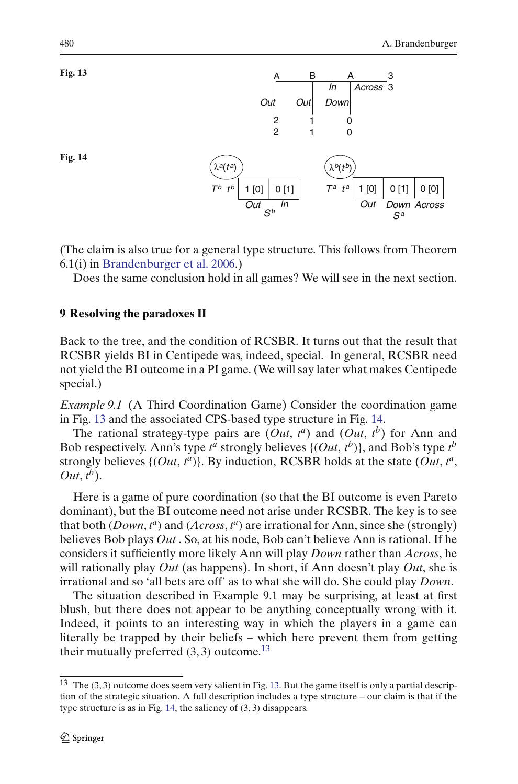

<span id="page-15-1"></span>

<span id="page-15-2"></span>(The claim is also true for a general type structure. This follows from Theorem 6.1(i) in [Brandenburger et al. 2006](#page-26-12).)

Does the same conclusion hold in all games? We will see in the next section.

## <span id="page-15-0"></span>**9 Resolving the paradoxes II**

Back to the tree, and the condition of RCSBR. It turns out that the result that RCSBR yields BI in Centipede was, indeed, special. In general, RCSBR need not yield the BI outcome in a PI game. (We will say later what makes Centipede special.)

*Example 9.1* (A Third Coordination Game) Consider the coordination game in Fig. [13](#page-15-1) and the associated CPS-based type structure in Fig. [14.](#page-15-2)

The rational strategy-type pairs are  $(Out, t^a)$  and  $(Out, t^b)$  for Ann and Bob respectively. Ann's type  $t^a$  strongly believes  $\{(Out, t^b)\}$ , and Bob's type  $t^b$ strongly believes  $\{(Out, t^a)\}$ . By induction, RCSBR holds at the state  $(Out, t^a)$ , *Out*, *t b*).

Here is a game of pure coordination (so that the BI outcome is even Pareto dominant), but the BI outcome need not arise under RCSBR. The key is to see that both (*Down*, *t <sup>a</sup>*) and (*Across*, *t <sup>a</sup>*) are irrational for Ann, since she (strongly) believes Bob plays *Out* . So, at his node, Bob can't believe Ann is rational. If he considers it sufficiently more likely Ann will play *Down* rather than *Across*, he will rationally play *Out* (as happens). In short, if Ann doesn't play *Out*, she is irrational and so 'all bets are off' as to what she will do. She could play *Down*.

The situation described in Example 9.1 may be surprising, at least at first blush, but there does not appear to be anything conceptually wrong with it. Indeed, it points to an interesting way in which the players in a game can literally be trapped by their beliefs – which here prevent them from getting their mutually preferred  $(3, 3)$  outcome.<sup>13</sup>

<span id="page-15-3"></span><sup>13</sup> The (3, 3) outcome does seem very salient in Fig. [13.](#page-15-1) But the game itself is only a partial description of the strategic situation. A full description includes a type structure – our claim is that if the type structure is as in Fig. [14,](#page-15-2) the saliency of (3, 3) disappears.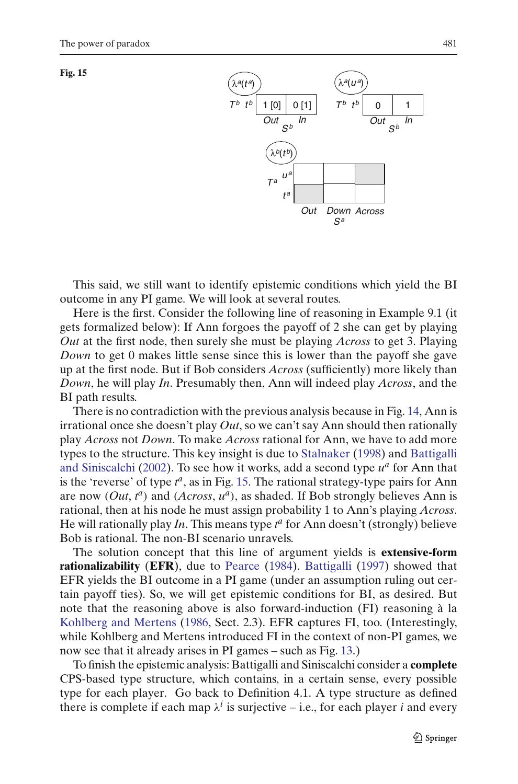<span id="page-16-0"></span>



This said, we still want to identify epistemic conditions which yield the BI outcome in any PI game. We will look at several routes.

Here is the first. Consider the following line of reasoning in Example 9.1 (it gets formalized below): If Ann forgoes the payoff of 2 she can get by playing *Out* at the first node, then surely she must be playing *Across* to get 3. Playing *Down* to get 0 makes little sense since this is lower than the payoff she gave up at the first node. But if Bob considers *Across* (sufficiently) more likely than *Down*, he will play *In*. Presumably then, Ann will indeed play *Across*, and the BI path results.

There is no contradiction with the previous analysis because in Fig. [14,](#page-15-2) Ann is irrational once she doesn't play *Out*, so we can't say Ann should then rationally play *Across* not *Down*. To make *Across* rational for Ann, we have to add more types to the str[ucture.](#page-26-9) [This](#page-26-9) [key](#page-26-9) [insight](#page-26-9) [is](#page-26-9) [due](#page-26-9) [to](#page-26-9) [Stalnaker](#page-27-15) [\(1998](#page-27-15)) and Battigalli and Siniscalchi [\(2002](#page-26-9)). To see how it works, add a second type  $u^a$  for Ann that is the 'reverse' of type  $t^a$ , as in Fig. [15.](#page-16-0) The rational strategy-type pairs for Ann are now  $(Out, t^a)$  and  $(Across, u^a)$ , as shaded. If Bob strongly believes Ann is rational, then at his node he must assign probability 1 to Ann's playing *Across*. He will rationally play *In*. This means type  $t^a$  for Ann doesn't (strongly) believe Bob is rational. The non-BI scenario unravels.

The solution concept that this line of argument yields is **extensive-form rationalizability** (**EFR**), due to [Pearce](#page-27-10) [\(1984](#page-27-10)). [Battigalli](#page-26-17) [\(1997](#page-26-17)) showed that EFR yields the BI outcome in a PI game (under an assumption ruling out certain payoff ties). So, we will get epistemic conditions for BI, as desired. But note that the reasoning above is also forward-induction (FI) reasoning à la [Kohlberg and Mertens](#page-27-11) [\(1986,](#page-27-11) Sect. 2.3). EFR captures FI, too. (Interestingly, while Kohlberg and Mertens introduced FI in the context of non-PI games, we now see that it already arises in PI games – such as Fig. [13.](#page-15-1))

To finish the epistemic analysis: Battigalli and Siniscalchi consider a **complete** CPS-based type structure, which contains, in a certain sense, every possible type for each player. Go back to Definition 4.1. A type structure as defined there is complete if each map  $\lambda^{i}$  is surjective – i.e., for each player *i* and every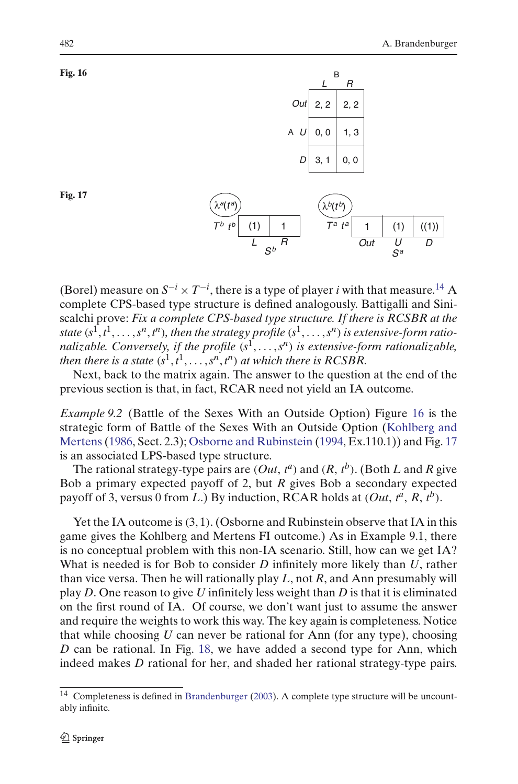<span id="page-17-1"></span>



<span id="page-17-2"></span>**Fig. 17**

(Borel) measure on  $S^{-i} \times T^{-i}$ , there is a type of player *i* with that measure.<sup>14</sup> A complete CPS-based type structure is defined analogously. Battigalli and Siniscalchi prove: *Fix a complete CPS-based type structure. If there is RCSBR at the state* ( $s^1, t^1, \ldots, s^n, t^n$ ), then the strategy profile  $(s^1, \ldots, s^n)$  is extensive-form ratio*nalizable. Conversely, if the profile*  $(s^1, \ldots, s^n)$  *is extensive-form rationalizable, then there is a state*  $(s^1, t^1, \ldots, s^n, t^n)$  *at which there is RCSBR.* 

Next, back to the matrix again. The answer to the question at the end of the previous section is that, in fact, RCAR need not yield an IA outcome.

*Example 9.2* (Battle of the Sexes With an Outside Option) Figure [16](#page-17-1) is the strategi[c](#page-27-11) [form](#page-27-11) [of](#page-27-11) [Battle](#page-27-11) [of](#page-27-11) [the](#page-27-11) [Sexes](#page-27-11) [With](#page-27-11) [an](#page-27-11) [Outside](#page-27-11) [Option](#page-27-11) [\(](#page-27-11)Kohlberg and Mertens[\(1986](#page-27-11), Sect. 2.3); [Osborne and Rubinstein](#page-27-17) [\(1994](#page-27-17), Ex.110.1)) and Fig. [17](#page-17-2) is an associated LPS-based type structure.

The rational strategy-type pairs are  $(Out, t^a)$  and  $(R, t^b)$ . (Both *L* and *R* give Bob a primary expected payoff of 2, but *R* gives Bob a secondary expected payoff of 3, versus 0 from *L*.) By induction, RCAR holds at  $(Out, t^a, R, t^b)$ .

Yet the IA outcome is  $(3, 1)$ . (Osborne and Rubinstein observe that IA in this game gives the Kohlberg and Mertens FI outcome.) As in Example 9.1, there is no conceptual problem with this non-IA scenario. Still, how can we get IA? What is needed is for Bob to consider *D* infinitely more likely than *U*, rather than vice versa. Then he will rationally play *L*, not *R*, and Ann presumably will play *D*. One reason to give *U* infinitely less weight than *D* is that it is eliminated on the first round of IA. Of course, we don't want just to assume the answer and require the weights to work this way. The key again is completeness. Notice that while choosing *U* can never be rational for Ann (for any type), choosing *D* can be rational. In Fig. [18,](#page-18-0) we have added a second type for Ann, which indeed makes *D* rational for her, and shaded her rational strategy-type pairs.

<span id="page-17-0"></span> $14$  Completeness is defined in [Brandenburger](#page-26-18) [\(2003](#page-26-18)). A complete type structure will be uncountably infinite.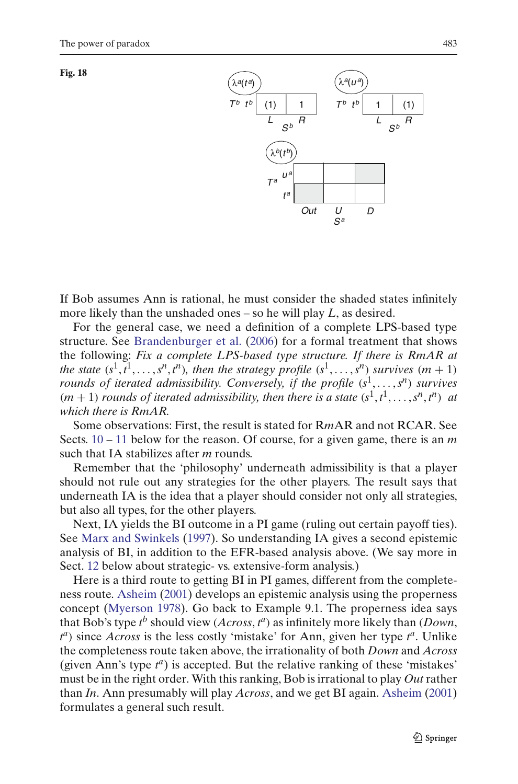<span id="page-18-0"></span>



If Bob assumes Ann is rational, he must consider the shaded states infinitely more likely than the unshaded ones – so he will play *L*, as desired.

For the general case, we need a definition of a complete LPS-based type structure. See [Brandenburger et al.](#page-26-12) [\(2006](#page-26-12)) for a formal treatment that shows the following: *Fix a complete LPS-based type structure. If there is RmAR at the state*  $(s^1, t^1, \ldots, s^n, t^n)$ *, then the strategy profile*  $(s^1, \ldots, s^n)$  *survives*  $(m + 1)$ *rounds of iterated admissibility. Conversely, if the profile*  $(s^1, \ldots, s^n)$  *survives*  $(m + 1)$  *rounds of iterated admissibility, then there is a state*  $(s<sup>1</sup>, t<sup>1</sup>,..., s<sup>n</sup>, t<sup>n</sup>)$  *at which there is RmAR.*

Some observations: First, the result is stated for R*m*AR and not RCAR. See Sects. [10](#page-19-0) – [11](#page-21-0) below for the reason. Of course, for a given game, there is an *m* such that IA stabilizes after *m* rounds.

Remember that the 'philosophy' underneath admissibility is that a player should not rule out any strategies for the other players. The result says that underneath IA is the idea that a player should consider not only all strategies, but also all types, for the other players.

Next, IA yields the BI outcome in a PI game (ruling out certain payoff ties). See [Marx and Swinkels](#page-27-18) [\(1997\)](#page-27-18). So understanding IA gives a second epistemic analysis of BI, in addition to the EFR-based analysis above. (We say more in Sect. [12](#page-22-0) below about strategic- vs. extensive-form analysis.)

Here is a third route to getting BI in PI games, different from the completeness route. [Asheim](#page-25-3) [\(2001](#page-25-3)) develops an epistemic analysis using the properness concept [\(Myerson 1978](#page-27-19)). Go back to Example 9.1. The properness idea says that Bob's type  $t^b$  should view (*Across*,  $t^a$ ) as infinitely more likely than (*Down*,  $t^a$ ) since *Across* is the less costly 'mistake' for Ann, given her type  $t^a$ . Unlike the completeness route taken above, the irrationality of both *Down* and *Across* (given Ann's type *t <sup>a</sup>*) is accepted. But the relative ranking of these 'mistakes' must be in the right order. With this ranking, Bob is irrational to play *Out* rather than *In*. Ann presumably will play *Across*, and we get BI again. [Asheim](#page-25-3) [\(2001](#page-25-3)) formulates a general such result.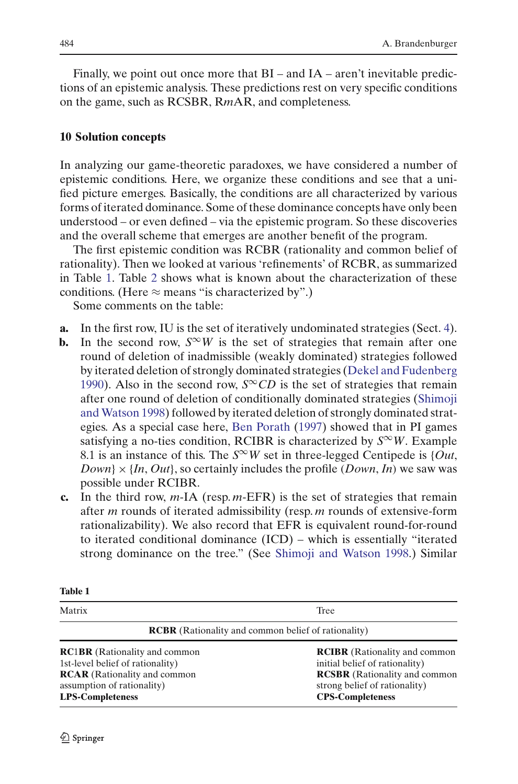Finally, we point out once more that BI – and IA – aren't inevitable predictions of an epistemic analysis. These predictions rest on very specific conditions on the game, such as RCSBR, R*m*AR, and completeness.

## <span id="page-19-0"></span>**10 Solution concepts**

In analyzing our game-theoretic paradoxes, we have considered a number of epistemic conditions. Here, we organize these conditions and see that a unified picture emerges. Basically, the conditions are all characterized by various forms of iterated dominance. Some of these dominance concepts have only been understood – or even defined – via the epistemic program. So these discoveries and the overall scheme that emerges are another benefit of the program.

The first epistemic condition was RCBR (rationality and common belief of rationality). Then we looked at various 'refinements' of RCBR, as summarized in Table [1.](#page-19-1) Table [2](#page-20-0) shows what is known about the characterization of these conditions. (Here  $\approx$  means "is characterized by".)

Some comments on the table:

- **a.** In the first row, IU is the set of iteratively undominated strategies (Sect. [4\)](#page-2-0).
- **b.** In the second row,  $S^{\infty}W$  is the set of strategies that remain after one round of deletion of inadmissible (weakly dominated) strategies followed by iterated deletion of strongly dominated strategies [\(Dekel and Fudenberg](#page-26-19) [1990](#page-26-19)). Also in the second row,  $S^{\infty}CD$  is the set of strategies that remain after one r[ound](#page-27-20) [of](#page-27-20) [deletion](#page-27-20) [of](#page-27-20) [conditionally](#page-27-20) [dominated](#page-27-20) [strategies](#page-27-20) [\(](#page-27-20)Shimoji and Watson [1998](#page-27-20)) followed by iterated deletion of strongly dominated strategies. As a special case here, [Ben Porath](#page-26-13) [\(1997](#page-26-13)) showed that in PI games satisfying a no-ties condition, RCIBR is characterized by  $S^{\infty}W$ . Example 8.1 is an instance of this. The  $S^{\infty}W$  set in three-legged Centipede is {*Out*,  $Down\} \times \{In, Out\}$ , so certainly includes the profile (*Down*, *In*) we saw was possible under RCIBR.
- **c.** In the third row, *m*-IA (resp. *m*-EFR) is the set of strategies that remain after *m* rounds of iterated admissibility (resp. *m* rounds of extensive-form rationalizability). We also record that EFR is equivalent round-for-round to iterated conditional dominance (ICD) – which is essentially "iterated strong dominance on the tree." (See [Shimoji and Watson 1998.](#page-27-20)) Similar

<span id="page-19-1"></span>

| ******                                                                                                                                                                   |                                                                                                                                                                            |
|--------------------------------------------------------------------------------------------------------------------------------------------------------------------------|----------------------------------------------------------------------------------------------------------------------------------------------------------------------------|
| Matrix                                                                                                                                                                   | Tree                                                                                                                                                                       |
| <b>RCBR</b> (Rationality and common belief of rationality)                                                                                                               |                                                                                                                                                                            |
| <b>RC1BR</b> (Rationality and common<br>1st-level belief of rationality)<br><b>RCAR</b> (Rationality and common<br>assumption of rationality)<br><b>LPS-Completeness</b> | <b>RCIBR</b> (Rationality and common<br>initial belief of rationality)<br><b>RCSBR</b> (Rationality and common<br>strong belief of rationality)<br><b>CPS-Completeness</b> |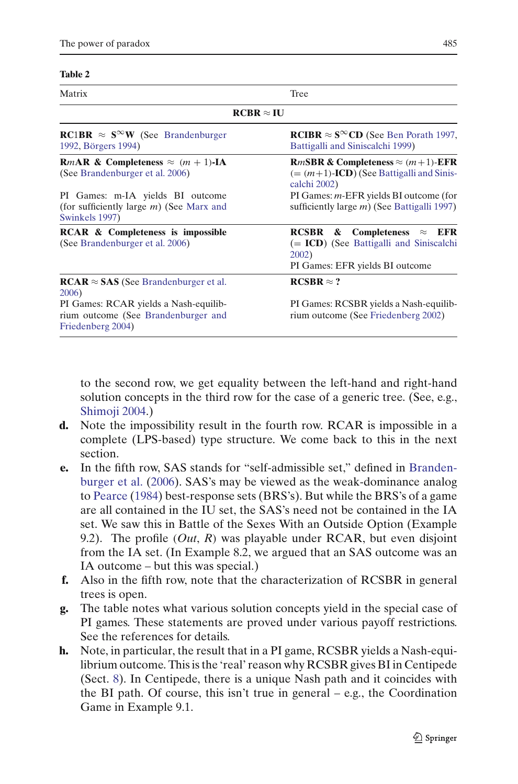#### **Table 2**

<span id="page-20-0"></span>

| Matrix                                                                                                       | Tree                                                                                                                                 |
|--------------------------------------------------------------------------------------------------------------|--------------------------------------------------------------------------------------------------------------------------------------|
|                                                                                                              | $RCBR \approx IU$                                                                                                                    |
| <b>RC1BR</b> $\approx$ <b>S<sup><math>\infty</math></sup>W</b> (See Brandenburger<br>1992, Börgers 1994)     | <b>RCIBR</b> $\approx$ S <sup><math>\infty</math></sup> CD (See Ben Porath 1997,<br>Battigalli and Siniscalchi 1999)                 |
| <b>R</b> <i>m</i> <b>AR</b> & Completeness $\approx$ $(m + 1)$ <b>-IA</b><br>(See Brandenburger et al. 2006) | <b>R</b> <i>mSBR</i> & Completeness $\approx$ $(m+1)$ -EFR<br>$(=(m+1)-ICD)$ (See Battigalli and Sinis-<br>calchi 2002)              |
| PI Games: m-IA yields BI outcome<br>(for sufficiently large $m$ ) (See Marx and<br>Swinkels 1997)            | PI Games: <i>m</i> -EFR yields BI outcome (for<br>sufficiently large $m$ ) (See Battigalli 1997)                                     |
| <b>RCAR &amp; Completeness is impossible</b><br>(See Brandenburger et al. 2006)                              | &<br>Completeness<br>$\approx$ EFR<br>RCSBR<br>$(= ICD)$ (See Battigalli and Siniscalchi<br>2002)<br>PI Games: EFR yields BI outcome |
| $RCAR \approx SAS$ (See Brandenburger et al.<br>2006)                                                        | $RCSBR \approx ?$                                                                                                                    |
| PI Games: RCAR yields a Nash-equilib-<br>rium outcome (See Brandenburger and<br>Friedenberg 2004)            | PI Games: RCSBR yields a Nash-equilib-<br>rium outcome (See Friedenberg 2002)                                                        |

to the second row, we get equality between the left-hand and right-hand solution concepts in the third row for the case of a generic tree. (See, e.g., [Shimoji 2004.](#page-27-21))

- **d.** Note the impossibility result in the fourth row. RCAR is impossible in a complete (LPS-based) type structure. We come back to this in the next section.
- **e.** In the fifth [row,](#page-26-12) [SAS](#page-26-12) [stands](#page-26-12) [for](#page-26-12) ["self-admissible](#page-26-12) [set,"](#page-26-12) [defined](#page-26-12) [in](#page-26-12) Brandenburger et al. [\(2006](#page-26-12)). SAS's may be viewed as the weak-dominance analog to [Pearce](#page-27-10) [\(1984](#page-27-10)) best-response sets (BRS's). But while the BRS's of a game are all contained in the IU set, the SAS's need not be contained in the IA set. We saw this in Battle of the Sexes With an Outside Option (Example 9.2). The profile (*Out*, *R*) was playable under RCAR, but even disjoint from the IA set. (In Example 8.2, we argued that an SAS outcome was an IA outcome – but this was special.)
- **f.** Also in the fifth row, note that the characterization of RCSBR in general trees is open.
- **g.** The table notes what various solution concepts yield in the special case of PI games. These statements are proved under various payoff restrictions. See the references for details.
- **h.** Note, in particular, the result that in a PI game, RCSBR yields a Nash-equilibrium outcome. This is the 'real' reason why RCSBR gives BI in Centipede (Sect. [8\)](#page-10-1). In Centipede, there is a unique Nash path and it coincides with the BI path. Of course, this isn't true in general – e.g., the Coordination Game in Example 9.1.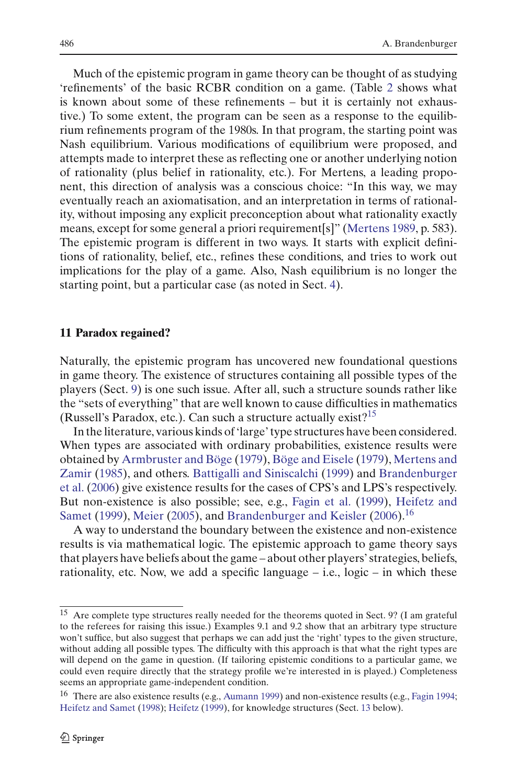Much of the epistemic program in game theory can be thought of as studying 'refinements' of the basic RCBR condition on a game. (Table [2](#page-20-0) shows what is known about some of these refinements – but it is certainly not exhaustive.) To some extent, the program can be seen as a response to the equilibrium refinements program of the 1980s. In that program, the starting point was Nash equilibrium. Various modifications of equilibrium were proposed, and attempts made to interpret these as reflecting one or another underlying notion of rationality (plus belief in rationality, etc.). For Mertens, a leading proponent, this direction of analysis was a conscious choice: "In this way, we may eventually reach an axiomatisation, and an interpretation in terms of rationality, without imposing any explicit preconception about what rationality exactly means, except for some general a priori requirement[s]" [\(Mertens 1989,](#page-27-22) p. 583). The epistemic program is different in two ways. It starts with explicit definitions of rationality, belief, etc., refines these conditions, and tries to work out implications for the play of a game. Also, Nash equilibrium is no longer the starting point, but a particular case (as noted in Sect. [4\)](#page-2-0).

#### <span id="page-21-0"></span>**11 Paradox regained?**

Naturally, the epistemic program has uncovered new foundational questions in game theory. The existence of structures containing all possible types of the players (Sect. [9\)](#page-15-0) is one such issue. After all, such a structure sounds rather like the "sets of everything" that are well known to cause difficulties in mathematics (Russell's Paradox, etc.). Can such a structure actually exist?<sup>15</sup>

In the literature, various kinds of 'large' type structures have been considered. When types are associated with ordinary probabilities, existence results were obtained by [Armbruster and Böge](#page-25-6) [\(1979\)](#page-25-6), [Böge and Eisele](#page-26-21) [\(1979\)](#page-26-21), Mertens and Zamir [\(1985](#page-27-23)), and others. [Battigalli and Siniscalchi](#page-26-8) [\(1999](#page-26-8)) and Brandenburger et al. [\(2006](#page-26-12)) give existence results for the cases of CPS's and LPS's respectively. But n[on-existence](#page-27-24) [is](#page-27-24) [also](#page-27-24) [possible;](#page-27-24) [see,](#page-27-24) [e.g.,](#page-27-24) [Fagin et al.](#page-26-22) [\(1999\)](#page-26-22), Heifetz and Samet [\(1999](#page-27-24)), [Meier](#page-27-25) [\(2005](#page-27-25)), and [Brandenburger and Keisler](#page-26-23) [\(2006](#page-26-23)).<sup>16</sup>

A way to understand the boundary between the existence and non-existence results is via mathematical logic. The epistemic approach to game theory says that players have beliefs about the game – about other players' strategies, beliefs, rationality, etc. Now, we add a specific language  $-$  i.e., logic  $-$  in which these

<span id="page-21-1"></span><sup>&</sup>lt;sup>15</sup> Are complete type structures really needed for the theorems quoted in Sect. 9? (I am grateful to the referees for raising this issue.) Examples 9.1 and 9.2 show that an arbitrary type structure won't suffice, but also suggest that perhaps we can add just the 'right' types to the given structure, without adding all possible types. The difficulty with this approach is that what the right types are will depend on the game in question. (If tailoring epistemic conditions to a particular game, we could even require directly that the strategy profile we're interested in is played.) Completeness seems an appropriate game-independent condition.

<span id="page-21-2"></span><sup>&</sup>lt;sup>16</sup> There are also existence results (e.g., [Aumann 1999](#page-25-7)) and non-existence results (e.g., [Fagin 1994](#page-26-24); [Heifetz and Samet](#page-27-26) [\(1998\)](#page-27-26); [Heifetz](#page-27-27) [\(1999\)](#page-27-27), for knowledge structures (Sect. [13](#page-24-0) below).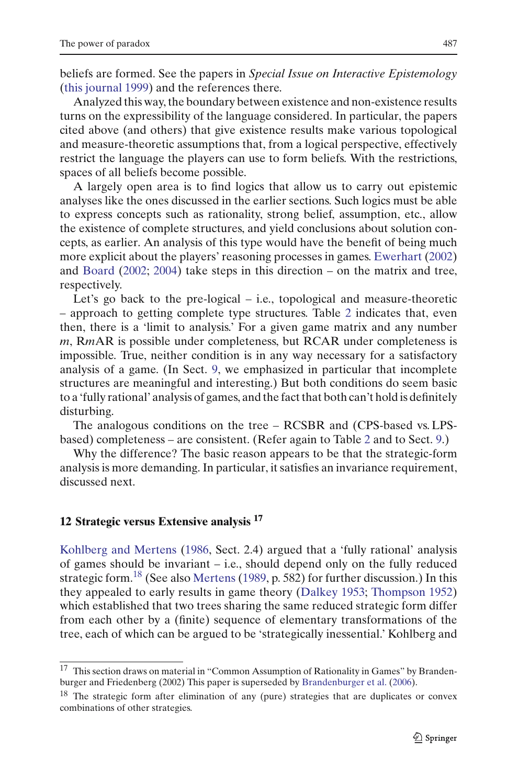beliefs are formed. See the papers in *Special Issue on Interactive Epistemology* [\(this journal 1999](#page-27-9)) and the references there.

Analyzed this way, the boundary between existence and non-existence results turns on the expressibility of the language considered. In particular, the papers cited above (and others) that give existence results make various topological and measure-theoretic assumptions that, from a logical perspective, effectively restrict the language the players can use to form beliefs. With the restrictions, spaces of all beliefs become possible.

A largely open area is to find logics that allow us to carry out epistemic analyses like the ones discussed in the earlier sections. Such logics must be able to express concepts such as rationality, strong belief, assumption, etc., allow the existence of complete structures, and yield conclusions about solution concepts, as earlier. An analysis of this type would have the benefit of being much more explicit about the players' reasoning processes in games. [Ewerhart](#page-26-25) [\(2002](#page-26-25)) and [Board](#page-26-26) [\(2002;](#page-26-26) [2004](#page-26-27)) take steps in this direction – on the matrix and tree, respectively.

Let's go back to the pre-logical – i.e., topological and measure-theoretic – approach to getting complete type structures. Table [2](#page-20-0) indicates that, even then, there is a 'limit to analysis.' For a given game matrix and any number *m*, R*m*AR is possible under completeness, but RCAR under completeness is impossible. True, neither condition is in any way necessary for a satisfactory analysis of a game. (In Sect. [9,](#page-15-0) we emphasized in particular that incomplete structures are meaningful and interesting.) But both conditions do seem basic to a 'fully rational' analysis of games, and the fact that both can't hold is definitely disturbing.

The analogous conditions on the tree – RCSBR and (CPS-based vs. LPSbased) completeness – are consistent. (Refer again to Table [2](#page-20-0) and to Sect. [9.](#page-15-0))

Why the difference? The basic reason appears to be that the strategic-form analysis is more demanding. In particular, it satisfies an invariance requirement, discussed next.

# <span id="page-22-0"></span>**12 Strategic versus Extensive analysis <sup>17</sup>**

Kohlberg and Mertens [\(1986](#page-27-11), Sect. 2.4) argued that a 'fully rational' analysis of games should be invariant – i.e., should depend only on the fully reduced strategic form.<sup>[18](#page-22-1)</sup> (See also [Mertens](#page-27-22) [\(1989,](#page-27-22) p. 582) for further discussion.) In this they appealed to early results in game theory [\(Dalkey 1953;](#page-26-28) [Thompson 1952](#page-27-28)) which established that two trees sharing the same reduced strategic form differ from each other by a (finite) sequence of elementary transformations of the tree, each of which can be argued to be 'strategically inessential.' Kohlberg and

<sup>17</sup> This section draws on material in "Common Assumption of Rationality in Games" by Brandenburger and Friedenberg (2002) This paper is superseded by [Brandenburger et al.](#page-26-12) [\(2006](#page-26-12)).

<span id="page-22-1"></span> $18$  The strategic form after elimination of any (pure) strategies that are duplicates or convex combinations of other strategies.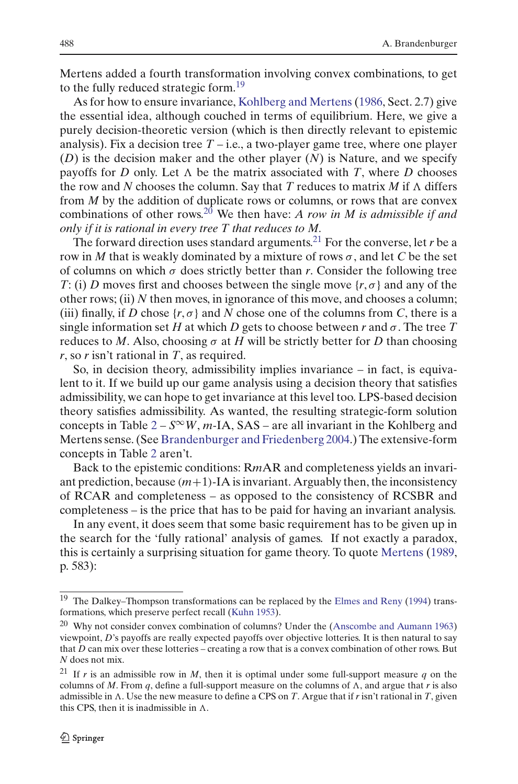Mertens added a fourth transformation involving convex combinations, to get to the fully reduced strategic form.<sup>19</sup>

As for how to ensure invariance, [Kohlberg and Mertens](#page-27-11) [\(1986,](#page-27-11) Sect. 2.7) give the essential idea, although couched in terms of equilibrium. Here, we give a purely decision-theoretic version (which is then directly relevant to epistemic analysis). Fix a decision tree  $T - i.e.,$  a two-player game tree, where one player (*D*) is the decision maker and the other player (*N*) is Nature, and we specify payoffs for *D* only. Let  $\Lambda$  be the matrix associated with *T*, where *D* chooses the row and N chooses the column. Say that T reduces to matrix  $M$  if  $\Lambda$  differs from *M* by the addition of duplicate rows or columns, or rows that are convex combinations of other rows.[20](#page-23-1) We then have: *A row in M is admissible if and only if it is rational in every tree T that reduces to M.*

The forward direction uses standard arguments.<sup>[21](#page-23-2)</sup> For the converse, let *r* be a row in *M* that is weakly dominated by a mixture of rows  $\sigma$ , and let *C* be the set of columns on which  $\sigma$  does strictly better than  $r$ . Consider the following tree *T*: (i) *D* moves first and chooses between the single move  $\{r, \sigma\}$  and any of the other rows; (ii) *N* then moves, in ignorance of this move, and chooses a column; (iii) finally, if *D* chose  $\{r, \sigma\}$  and *N* chose one of the columns from *C*, there is a single information set *H* at which *D* gets to choose between *r* and  $\sigma$ . The tree *T* reduces to *M*. Also, choosing  $\sigma$  at *H* will be strictly better for *D* than choosing *r*, so *r* isn't rational in *T*, as required.

So, in decision theory, admissibility implies invariance – in fact, is equivalent to it. If we build up our game analysis using a decision theory that satisfies admissibility, we can hope to get invariance at this level too. LPS-based decision theory satisfies admissibility. As wanted, the resulting strategic-form solution concepts in Table  $2 - S^{\infty}W$  $2 - S^{\infty}W$ , *m*-IA, SAS – are all invariant in the Kohlberg and Mertens sense. (See [Brandenburger and Friedenberg 2004.](#page-26-20)) The extensive-form concepts in Table [2](#page-20-0) aren't.

Back to the epistemic conditions: R*m*AR and completeness yields an invariant prediction, because  $(m+1)$ -IA is invariant. Arguably then, the inconsistency of RCAR and completeness – as opposed to the consistency of RCSBR and completeness – is the price that has to be paid for having an invariant analysis.

In any event, it does seem that some basic requirement has to be given up in the search for the 'fully rational' analysis of games. If not exactly a paradox, this is certainly a surprising situation for game theory. To quote [Mertens](#page-27-22) [\(1989,](#page-27-22) p. 583):

<span id="page-23-0"></span><sup>&</sup>lt;sup>19</sup> The Dalkey–Thompson transformations can be replaced by the [Elmes and Reny](#page-26-29) [\(1994\)](#page-26-29) transformations, which preserve perfect recall [\(Kuhn 1953](#page-27-29)).

<span id="page-23-1"></span><sup>20</sup> Why not consider convex combination of columns? Under the [\(Anscombe and Aumann 1963\)](#page-25-8) viewpoint, *D*'s payoffs are really expected payoffs over objective lotteries. It is then natural to say that *D* can mix over these lotteries – creating a row that is a convex combination of other rows. But *N* does not mix.

<span id="page-23-2"></span><sup>&</sup>lt;sup>21</sup> If *r* is an admissible row in *M*, then it is optimal under some full-support measure  $q$  on the columns of *M*. From *q*, define a full-support measure on the columns of  $\Lambda$ , and argue that *r* is also admissible in  $\Lambda$ . Use the new measure to define a CPS on *T*. Argue that if *r* isn't rational in *T*, given this CPS, then it is inadmissible in  $\Lambda$ .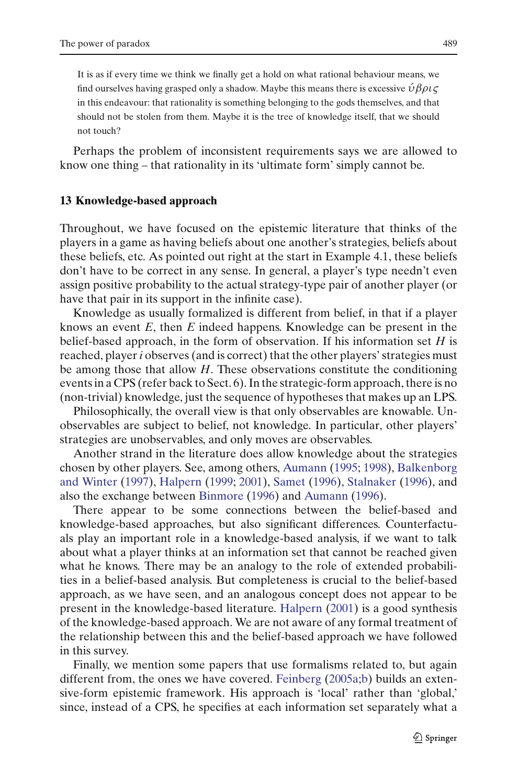It is as if every time we think we finally get a hold on what rational behaviour means, we find ourselves having grasped only a shadow. Maybe this means there is excessive  $\hat{\nu} \beta \rho \iota \zeta$ in this endeavour: that rationality is something belonging to the gods themselves, and that should not be stolen from them. Maybe it is the tree of knowledge itself, that we should not touch?

Perhaps the problem of inconsistent requirements says we are allowed to know one thing – that rationality in its 'ultimate form' simply cannot be.

#### <span id="page-24-0"></span>**13 Knowledge-based approach**

Throughout, we have focused on the epistemic literature that thinks of the players in a game as having beliefs about one another's strategies, beliefs about these beliefs, etc. As pointed out right at the start in Example 4.1, these beliefs don't have to be correct in any sense. In general, a player's type needn't even assign positive probability to the actual strategy-type pair of another player (or have that pair in its support in the infinite case).

Knowledge as usually formalized is different from belief, in that if a player knows an event *E*, then *E* indeed happens. Knowledge can be present in the belief-based approach, in the form of observation. If his information set *H* is reached, player*i* observes (and is correct) that the other players' strategies must be among those that allow *H*. These observations constitute the conditioning events in a CPS (refer back to Sect. 6). In the strategic-form approach, there is no (non-trivial) knowledge, just the sequence of hypotheses that makes up an LPS.

Philosophically, the overall view is that only observables are knowable. Unobservables are subject to belief, not knowledge. In particular, other players' strategies are unobservables, and only moves are observables.

Another strand in the literature does allow knowledge about the strategies chosen by [other](#page-25-9) [players.](#page-25-9) [See,](#page-25-9) [among](#page-25-9) [others,](#page-25-9) [Aumann](#page-25-5) [\(1995;](#page-25-5) [1998](#page-25-4)), Balkenborg and Winter [\(1997](#page-25-9)), [Halpern](#page-27-30) [\(1999;](#page-27-30) [2001\)](#page-27-31), [Samet](#page-27-32) [\(1996\)](#page-27-32), [Stalnaker](#page-27-33) [\(1996\)](#page-27-33), and also the exchange between [Binmore](#page-26-30) [\(1996](#page-26-30)) and [Aumann](#page-25-10) [\(1996\)](#page-25-10).

There appear to be some connections between the belief-based and knowledge-based approaches, but also significant differences. Counterfactuals play an important role in a knowledge-based analysis, if we want to talk about what a player thinks at an information set that cannot be reached given what he knows. There may be an analogy to the role of extended probabilities in a belief-based analysis. But completeness is crucial to the belief-based approach, as we have seen, and an analogous concept does not appear to be present in the knowledge-based literature. [Halpern](#page-27-31) [\(2001](#page-27-31)) is a good synthesis of the knowledge-based approach. We are not aware of any formal treatment of the relationship between this and the belief-based approach we have followed in this survey.

Finally, we mention some papers that use formalisms related to, but again different from, the ones we have covered. [Feinberg](#page-26-31) [\(2005a](#page-26-31)[;b](#page-26-32)) builds an extensive-form epistemic framework. His approach is 'local' rather than 'global,' since, instead of a CPS, he specifies at each information set separately what a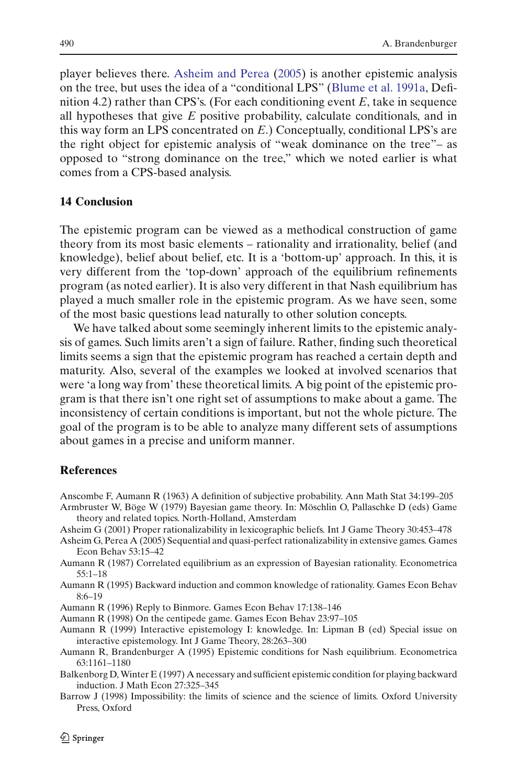player believes there. [Asheim and Perea](#page-25-11) [\(2005\)](#page-25-11) is another epistemic analysis on the tree, but uses the idea of a "conditional LPS" [\(Blume et al. 1991a,](#page-26-10) Definition 4.2) rather than CPS's. (For each conditioning event *E*, take in sequence all hypotheses that give *E* positive probability, calculate conditionals, and in this way form an LPS concentrated on *E*.) Conceptually, conditional LPS's are the right object for epistemic analysis of "weak dominance on the tree"– as opposed to "strong dominance on the tree," which we noted earlier is what comes from a CPS-based analysis.

## **14 Conclusion**

The epistemic program can be viewed as a methodical construction of game theory from its most basic elements – rationality and irrationality, belief (and knowledge), belief about belief, etc. It is a 'bottom-up' approach. In this, it is very different from the 'top-down' approach of the equilibrium refinements program (as noted earlier). It is also very different in that Nash equilibrium has played a much smaller role in the epistemic program. As we have seen, some of the most basic questions lead naturally to other solution concepts.

We have talked about some seemingly inherent limits to the epistemic analysis of games. Such limits aren't a sign of failure. Rather, finding such theoretical limits seems a sign that the epistemic program has reached a certain depth and maturity. Also, several of the examples we looked at involved scenarios that were 'a long way from' these theoretical limits. A big point of the epistemic program is that there isn't one right set of assumptions to make about a game. The inconsistency of certain conditions is important, but not the whole picture. The goal of the program is to be able to analyze many different sets of assumptions about games in a precise and uniform manner.

## **References**

- <span id="page-25-8"></span>Anscombe F, Aumann R (1963) A definition of subjective probability. Ann Math Stat 34:199–205
- <span id="page-25-6"></span>Armbruster W, Böge W (1979) Bayesian game theory. In: Möschlin O, Pallaschke D (eds) Game theory and related topics. North-Holland, Amsterdam
- <span id="page-25-3"></span>Asheim G (2001) Proper rationalizability in lexicographic beliefs. Int J Game Theory 30:453–478
- <span id="page-25-11"></span>Asheim G, Perea A (2005) Sequential and quasi-perfect rationalizability in extensive games. Games Econ Behav 53:15–42
- <span id="page-25-2"></span>Aumann R (1987) Correlated equilibrium as an expression of Bayesian rationality. Econometrica 55:1–18
- <span id="page-25-5"></span>Aumann R (1995) Backward induction and common knowledge of rationality. Games Econ Behav 8:6–19
- <span id="page-25-10"></span>Aumann R (1996) Reply to Binmore. Games Econ Behav 17:138–146
- <span id="page-25-4"></span>Aumann R (1998) On the centipede game. Games Econ Behav 23:97–105
- <span id="page-25-7"></span>Aumann R (1999) Interactive epistemology I: knowledge. In: Lipman B (ed) Special issue on interactive epistemology. Int J Game Theory, 28:263–300
- <span id="page-25-1"></span>Aumann R, Brandenburger A (1995) Epistemic conditions for Nash equilibrium. Econometrica 63:1161–1180
- <span id="page-25-9"></span>Balkenborg D, Winter E (1997) A necessary and sufficient epistemic condition for playing backward induction. J Math Econ 27:325–345
- <span id="page-25-0"></span>Barrow J (1998) Impossibility: the limits of science and the science of limits. Oxford University Press, Oxford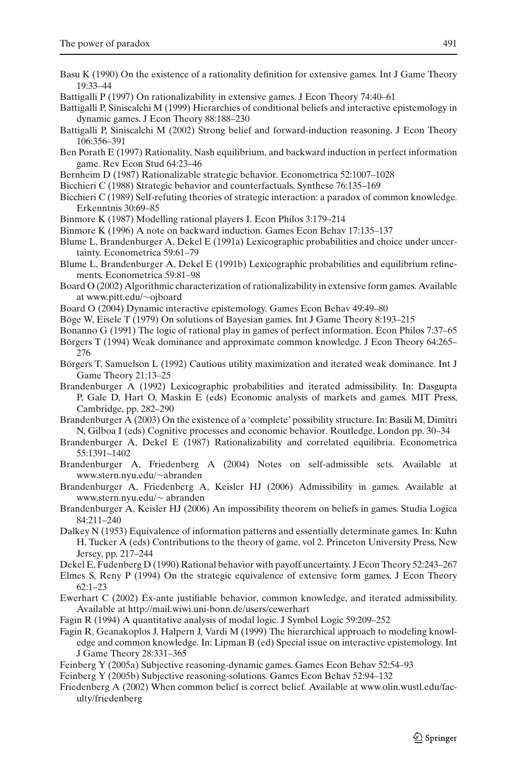- <span id="page-26-3"></span>Basu K (1990) On the existence of a rationality definition for extensive games. Int J Game Theory 19:33–44
- <span id="page-26-17"></span>Battigalli P (1997) On rationalizability in extensive games. J Econ Theory 74:40–61
- <span id="page-26-8"></span>Battigalli P, Siniscalchi M (1999) Hierarchies of conditional beliefs and interactive epistemology in dynamic games. J Econ Theory 88:188–230
- <span id="page-26-9"></span>Battigalli P, Siniscalchi M (2002) Strong belief and forward-induction reasoning. J Econ Theory 106:356–391
- <span id="page-26-13"></span>Ben Porath E (1997) Rationality, Nash equilibrium, and backward induction in perfect information game. Rev Econ Stud 64:23–46
- <span id="page-26-7"></span>Bernheim D (1987) Rationalizable strategic behavior. Econometrica 52:1007–1028
- <span id="page-26-1"></span>Bicchieri C (1988) Strategic behavior and counterfactuals. Synthese 76:135–169
- <span id="page-26-2"></span>Bicchieri C (1989) Self-refuting theories of strategic interaction: a paradox of common knowledge. Erkenntnis 30:69–85
- <span id="page-26-0"></span>Binmore K (1987) Modelling rational players I. Econ Philos 3:179–214
- <span id="page-26-30"></span>Binmore K (1996) A note on backward induction. Games Econ Behav 17:135–137
- <span id="page-26-10"></span>Blume L, Brandenburger A, Dekel E (1991a) Lexicographic probabilities and choice under uncertainty. Econometrica 59:61–79
- <span id="page-26-11"></span>Blume L, Brandenburger A, Dekel E (1991b) Lexicographic probabilities and equilibrium refinements. Econometrica 59:81–98
- <span id="page-26-26"></span>Board O (2002) Algorithmic characterization of rationalizability in extensive form games. Available at www.pitt.edu/∼ojboard
- <span id="page-26-27"></span>Board O (2004) Dynamic interactive epistemology. Games Econ Behav 49:49–80
- <span id="page-26-21"></span>Böge W, Eisele T (1979) On solutions of Bayesian games. Int J Game Theory 8:193–215
- <span id="page-26-4"></span>Bonanno G (1991) The logic of rational play in games of perfect information. Econ Philos 7:37–65
- <span id="page-26-14"></span>Börgers T (1994) Weak dominance and approximate common knowledge. J Econ Theory 64:265– 276
- <span id="page-26-5"></span>Börgers T, Samuelson L (1992) Cautious utility maximization and iterated weak dominance. Int J Game Theory 21:13–25
- <span id="page-26-15"></span>Brandenburger A (1992) Lexicographic probabilities and iterated admissibility. In: Dasgupta P, Gale D, Hart O, Maskin E (eds) Economic analysis of markets and games. MIT Press, Cambridge, pp. 282–290
- <span id="page-26-18"></span>Brandenburger A (2003) On the existence of a 'complete' possibility structure. In: Basili M, Dimitri N, Gilboa I (eds) Cognitive processes and economic behavior. Routledge, London pp. 30–34
- <span id="page-26-6"></span>Brandenburger A, Dekel E (1987) Rationalizability and correlated equilibria. Econometrica 55:1391–1402
- <span id="page-26-20"></span>Brandenburger A, Friedenberg A (2004) Notes on self-admissible sets. Available at www.stern.nyu.edu/∼abranden
- <span id="page-26-12"></span>Brandenburger A, Friedenberg A, Keisler HJ (2006) Admissibility in games. Available at www.stern.nyu.edu/∼ abranden
- <span id="page-26-23"></span>Brandenburger A, Keisler HJ (2006) An impossibility theorem on beliefs in games. Studia Logica 84:211–240
- <span id="page-26-28"></span>Dalkey N (1953) Equivalence of information patterns and essentially determinate games. In: Kuhn H, Tucker A (eds) Contributions to the theory of game, vol 2. Princeton University Press, New Jersey, pp. 217–244
- <span id="page-26-19"></span>Dekel E, Fudenberg D (1990) Rational behavior with payoff uncertainty. J Econ Theory 52:243–267
- <span id="page-26-29"></span>Elmes S, Reny P (1994) On the strategic equivalence of extensive form games. J Econ Theory  $62.1 - 23$
- <span id="page-26-25"></span>Ewerhart C (2002) Ex-ante justifiable behavior, common knowledge, and iterated admissibility. Available at http://mail.wiwi.uni-bonn.de/users/cewerhart
- Fagin R (1994) A quantitative analysis of modal logic. J Symbol Logic 59:209–252
- <span id="page-26-24"></span><span id="page-26-22"></span>Fagin R, Geanakoplos J, Halpern J, Vardi M (1999) The hierarchical approach to modeling knowledge and common knowledge. In: Lipman B (ed) Special issue on interactive epistemology. Int J Game Theory 28:331–365
- <span id="page-26-31"></span>Feinberg Y (2005a) Subjective reasoning-dynamic games. Games Econ Behav 52:54–93
- Feinberg Y (2005b) Subjective reasoning-solutions. Games Econ Behav 52:94–132
- <span id="page-26-32"></span><span id="page-26-16"></span>Friedenberg A (2002) When common belief is correct belief. Available at www.olin.wustl.edu/faculty/friedenberg